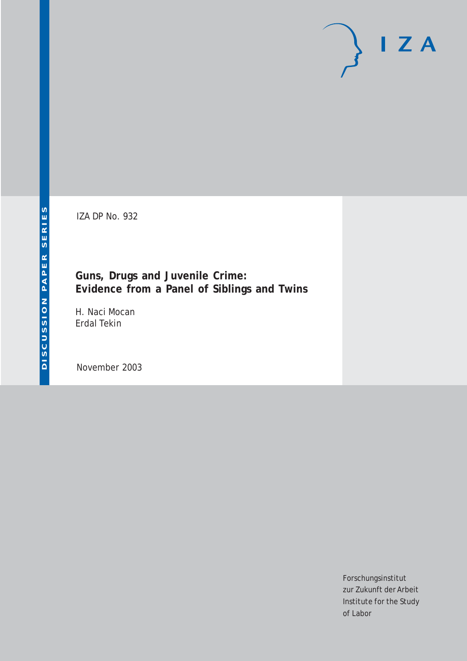IZA DP No. 932

**Guns, Drugs and Juvenile Crime: Evidence from a Panel of Siblings and Twins**

H. Naci Mocan Erdal Tekin

November 2003

Forschungsinstitut zur Zukunft der Arbeit Institute for the Study of Labor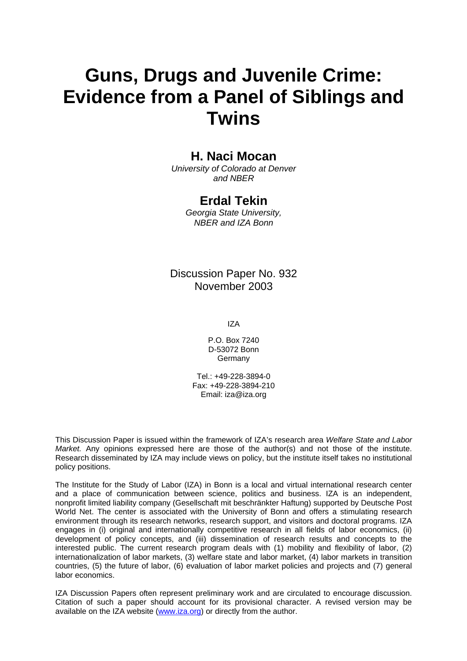# **Guns, Drugs and Juvenile Crime: Evidence from a Panel of Siblings and Twins**

# **H. Naci Mocan**

*University of Colorado at Denver and NBER* 

# **Erdal Tekin**

*Georgia State University, NBER and IZA Bonn* 

Discussion Paper No. 932 November 2003

IZA

P.O. Box 7240 D-53072 Bonn Germany

Tel.: +49-228-3894-0 Fax: +49-228-3894-210 Email: [iza@iza.org](mailto:iza@iza.org)

This Discussion Paper is issued within the framework of IZA's research area *Welfare State and Labor Market.* Any opinions expressed here are those of the author(s) and not those of the institute. Research disseminated by IZA may include views on policy, but the institute itself takes no institutional policy positions.

The Institute for the Study of Labor (IZA) in Bonn is a local and virtual international research center and a place of communication between science, politics and business. IZA is an independent, nonprofit limited liability company (Gesellschaft mit beschränkter Haftung) supported by Deutsche Post World Net. The center is associated with the University of Bonn and offers a stimulating research environment through its research networks, research support, and visitors and doctoral programs. IZA engages in (i) original and internationally competitive research in all fields of labor economics, (ii) development of policy concepts, and (iii) dissemination of research results and concepts to the interested public. The current research program deals with (1) mobility and flexibility of labor, (2) internationalization of labor markets, (3) welfare state and labor market, (4) labor markets in transition countries, (5) the future of labor, (6) evaluation of labor market policies and projects and (7) general labor economics.

IZA Discussion Papers often represent preliminary work and are circulated to encourage discussion. Citation of such a paper should account for its provisional character. A revised version may be available on the IZA website ([www.iza.org](http://www.iza.org/)) or directly from the author.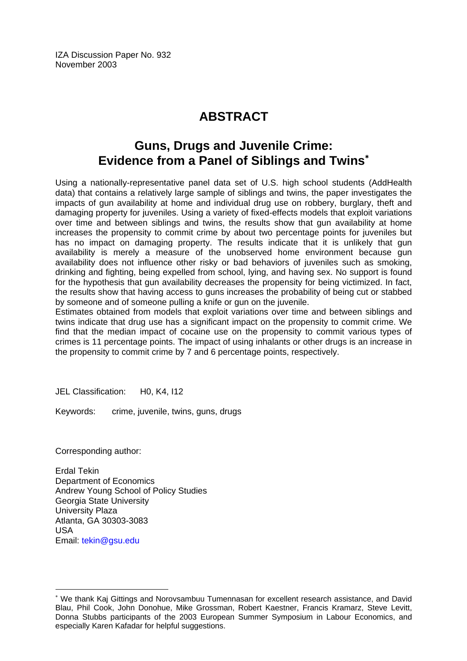IZA Discussion Paper No. 932 November 2003

# **ABSTRACT**

# **Guns, Drugs and Juvenile Crime: Evidence from a Panel of Siblings and Twins**[∗](#page-2-0)

Using a nationally-representative panel data set of U.S. high school students (AddHealth data) that contains a relatively large sample of siblings and twins, the paper investigates the impacts of gun availability at home and individual drug use on robbery, burglary, theft and damaging property for juveniles. Using a variety of fixed-effects models that exploit variations over time and between siblings and twins, the results show that gun availability at home increases the propensity to commit crime by about two percentage points for juveniles but has no impact on damaging property. The results indicate that it is unlikely that gun availability is merely a measure of the unobserved home environment because gun availability does not influence other risky or bad behaviors of juveniles such as smoking, drinking and fighting, being expelled from school, lying, and having sex. No support is found for the hypothesis that gun availability decreases the propensity for being victimized. In fact, the results show that having access to guns increases the probability of being cut or stabbed by someone and of someone pulling a knife or gun on the juvenile.

Estimates obtained from models that exploit variations over time and between siblings and twins indicate that drug use has a significant impact on the propensity to commit crime. We find that the median impact of cocaine use on the propensity to commit various types of crimes is 11 percentage points. The impact of using inhalants or other drugs is an increase in the propensity to commit crime by 7 and 6 percentage points, respectively.

JEL Classification: H0, K4, I12

Keywords: crime, juvenile, twins, guns, drugs

Corresponding author:

 $\overline{a}$ 

Erdal Tekin Department of Economics Andrew Young School of Policy Studies Georgia State University University Plaza Atlanta, GA 30303-3083 USA Email: [tekin@gsu.edu](mailto:tekin@gsu.edu) 

<span id="page-2-0"></span><sup>∗</sup> We thank Kaj Gittings and Norovsambuu Tumennasan for excellent research assistance, and David Blau, Phil Cook, John Donohue, Mike Grossman, Robert Kaestner, Francis Kramarz, Steve Levitt, Donna Stubbs participants of the 2003 European Summer Symposium in Labour Economics, and especially Karen Kafadar for helpful suggestions.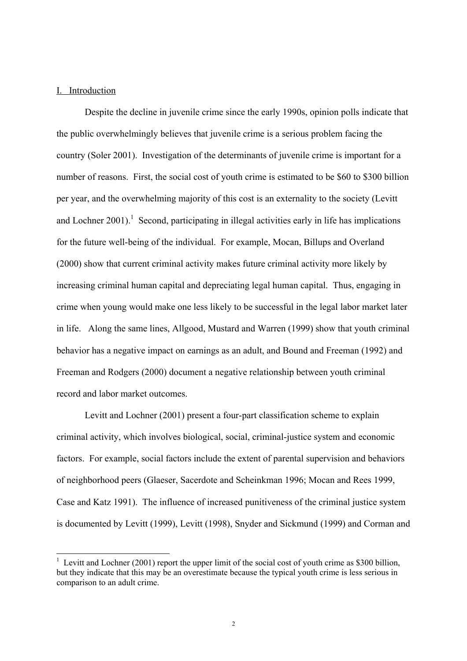# I. Introduction

Despite the decline in juvenile crime since the early 1990s, opinion polls indicate that the public overwhelmingly believes that juvenile crime is a serious problem facing the country (Soler 2001). Investigation of the determinants of juvenile crime is important for a number of reasons. First, the social cost of youth crime is estimated to be \$60 to \$300 billion per year, and the overwhelming majority of this cost is an externality to the society (Levitt and Lochner 200[1](#page-3-0)).<sup>1</sup> Second, participating in illegal activities early in life has implications for the future well-being of the individual. For example, Mocan, Billups and Overland (2000) show that current criminal activity makes future criminal activity more likely by increasing criminal human capital and depreciating legal human capital. Thus, engaging in crime when young would make one less likely to be successful in the legal labor market later in life. Along the same lines, Allgood, Mustard and Warren (1999) show that youth criminal behavior has a negative impact on earnings as an adult, and Bound and Freeman (1992) and Freeman and Rodgers (2000) document a negative relationship between youth criminal record and labor market outcomes.

Levitt and Lochner (2001) present a four-part classification scheme to explain criminal activity, which involves biological, social, criminal-justice system and economic factors. For example, social factors include the extent of parental supervision and behaviors of neighborhood peers (Glaeser, Sacerdote and Scheinkman 1996; Mocan and Rees 1999, Case and Katz 1991). The influence of increased punitiveness of the criminal justice system is documented by Levitt (1999), Levitt (1998), Snyder and Sickmund (1999) and Corman and

<span id="page-3-0"></span><sup>&</sup>lt;sup>1</sup> Levitt and Lochner (2001) report the upper limit of the social cost of youth crime as \$300 billion, but they indicate that this may be an overestimate because the typical youth crime is less serious in comparison to an adult crime.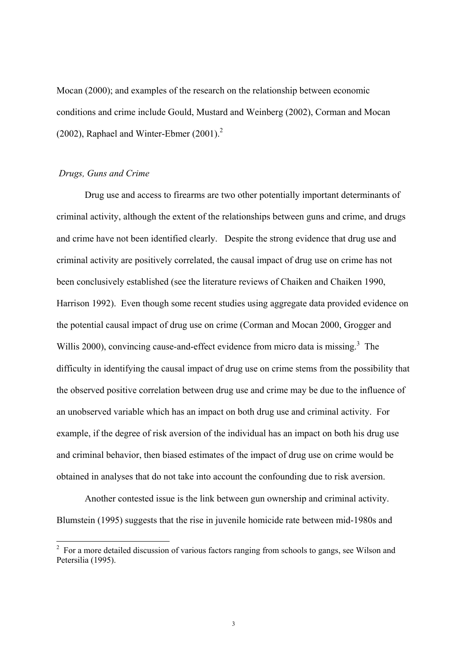Mocan (2000); and examples of the research on the relationship between economic conditions and crime include Gould, Mustard and Weinberg (2002), Corman and Mocan (2002), Raphael and Winter-Ebmer (2001). $^2$ 

# *Drugs, Guns and Crime*

Drug use and access to firearms are two other potentially important determinants of criminal activity, although the extent of the relationships between guns and crime, and drugs and crime have not been identified clearly. Despite the strong evidence that drug use and criminal activity are positively correlated, the causal impact of drug use on crime has not been conclusively established (see the literature reviews of Chaiken and Chaiken 1990, Harrison 1992). Even though some recent studies using aggregate data provided evidence on the potential causal impact of drug use on crime (Corman and Mocan 2000, Grogger and Willis 2000), convincing cause-and-effect evidence from micro data is missing.<sup>[3](#page-4-1)</sup> The difficulty in identifying the causal impact of drug use on crime stems from the possibility that the observed positive correlation between drug use and crime may be due to the influence of an unobserved variable which has an impact on both drug use and criminal activity. For example, if the degree of risk aversion of the individual has an impact on both his drug use and criminal behavior, then biased estimates of the impact of drug use on crime would be obtained in analyses that do not take into account the confounding due to risk aversion.

Another contested issue is the link between gun ownership and criminal activity. Blumstein (1995) suggests that the rise in juvenile homicide rate between mid-1980s and

<span id="page-4-1"></span><span id="page-4-0"></span><sup>&</sup>lt;sup>2</sup> For a more detailed discussion of various factors ranging from schools to gangs, see Wilson and Petersilia (1995).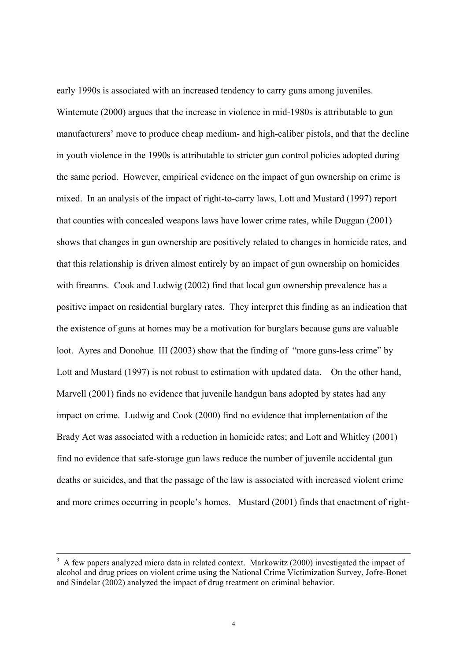early 1990s is associated with an increased tendency to carry guns among juveniles. Wintemute (2000) argues that the increase in violence in mid-1980s is attributable to gun manufacturers' move to produce cheap medium- and high-caliber pistols, and that the decline in youth violence in the 1990s is attributable to stricter gun control policies adopted during the same period. However, empirical evidence on the impact of gun ownership on crime is mixed. In an analysis of the impact of right-to-carry laws, Lott and Mustard (1997) report that counties with concealed weapons laws have lower crime rates, while Duggan (2001) shows that changes in gun ownership are positively related to changes in homicide rates, and that this relationship is driven almost entirely by an impact of gun ownership on homicides with firearms. Cook and Ludwig (2002) find that local gun ownership prevalence has a positive impact on residential burglary rates. They interpret this finding as an indication that the existence of guns at homes may be a motivation for burglars because guns are valuable loot. Ayres and Donohue III (2003) show that the finding of "more guns-less crime" by Lott and Mustard (1997) is not robust to estimation with updated data. On the other hand, Marvell (2001) finds no evidence that juvenile handgun bans adopted by states had any impact on crime. Ludwig and Cook (2000) find no evidence that implementation of the Brady Act was associated with a reduction in homicide rates; and Lott and Whitley (2001) find no evidence that safe-storage gun laws reduce the number of juvenile accidental gun deaths or suicides, and that the passage of the law is associated with increased violent crime and more crimes occurring in people's homes. Mustard (2001) finds that enactment of right-

<sup>3</sup>  A few papers analyzed micro data in related context. Markowitz (2000) investigated the impact of alcohol and drug prices on violent crime using the National Crime Victimization Survey, Jofre-Bonet and Sindelar (2002) analyzed the impact of drug treatment on criminal behavior.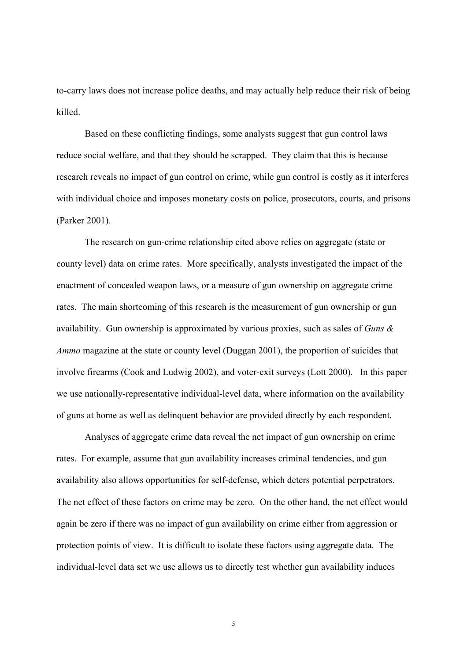to-carry laws does not increase police deaths, and may actually help reduce their risk of being killed.

Based on these conflicting findings, some analysts suggest that gun control laws reduce social welfare, and that they should be scrapped. They claim that this is because research reveals no impact of gun control on crime, while gun control is costly as it interferes with individual choice and imposes monetary costs on police, prosecutors, courts, and prisons (Parker 2001).

The research on gun-crime relationship cited above relies on aggregate (state or county level) data on crime rates. More specifically, analysts investigated the impact of the enactment of concealed weapon laws, or a measure of gun ownership on aggregate crime rates. The main shortcoming of this research is the measurement of gun ownership or gun availability. Gun ownership is approximated by various proxies, such as sales of *Guns & Ammo* magazine at the state or county level (Duggan 2001), the proportion of suicides that involve firearms (Cook and Ludwig 2002), and voter-exit surveys (Lott 2000). In this paper we use nationally-representative individual-level data, where information on the availability of guns at home as well as delinquent behavior are provided directly by each respondent.

Analyses of aggregate crime data reveal the net impact of gun ownership on crime rates. For example, assume that gun availability increases criminal tendencies, and gun availability also allows opportunities for self-defense, which deters potential perpetrators. The net effect of these factors on crime may be zero. On the other hand, the net effect would again be zero if there was no impact of gun availability on crime either from aggression or protection points of view. It is difficult to isolate these factors using aggregate data. The individual-level data set we use allows us to directly test whether gun availability induces

5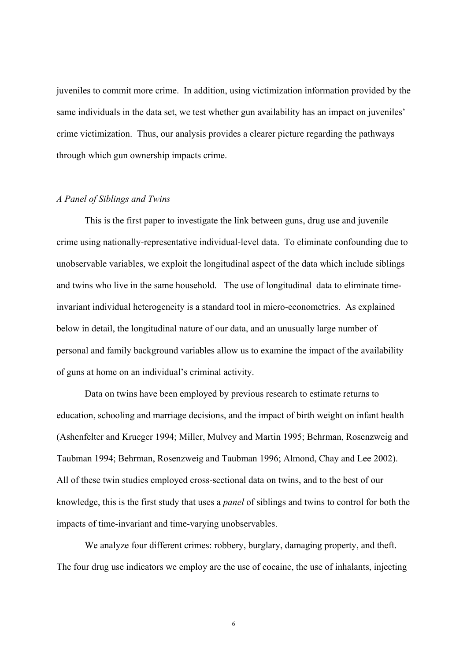juveniles to commit more crime. In addition, using victimization information provided by the same individuals in the data set, we test whether gun availability has an impact on juveniles' crime victimization. Thus, our analysis provides a clearer picture regarding the pathways through which gun ownership impacts crime.

### *A Panel of Siblings and Twins*

This is the first paper to investigate the link between guns, drug use and juvenile crime using nationally-representative individual-level data. To eliminate confounding due to unobservable variables, we exploit the longitudinal aspect of the data which include siblings and twins who live in the same household. The use of longitudinal data to eliminate timeinvariant individual heterogeneity is a standard tool in micro-econometrics. As explained below in detail, the longitudinal nature of our data, and an unusually large number of personal and family background variables allow us to examine the impact of the availability of guns at home on an individual's criminal activity.

Data on twins have been employed by previous research to estimate returns to education, schooling and marriage decisions, and the impact of birth weight on infant health (Ashenfelter and Krueger 1994; Miller, Mulvey and Martin 1995; Behrman, Rosenzweig and Taubman 1994; Behrman, Rosenzweig and Taubman 1996; Almond, Chay and Lee 2002). All of these twin studies employed cross-sectional data on twins, and to the best of our knowledge, this is the first study that uses a *panel* of siblings and twins to control for both the impacts of time-invariant and time-varying unobservables.

We analyze four different crimes: robbery, burglary, damaging property, and theft. The four drug use indicators we employ are the use of cocaine, the use of inhalants, injecting

6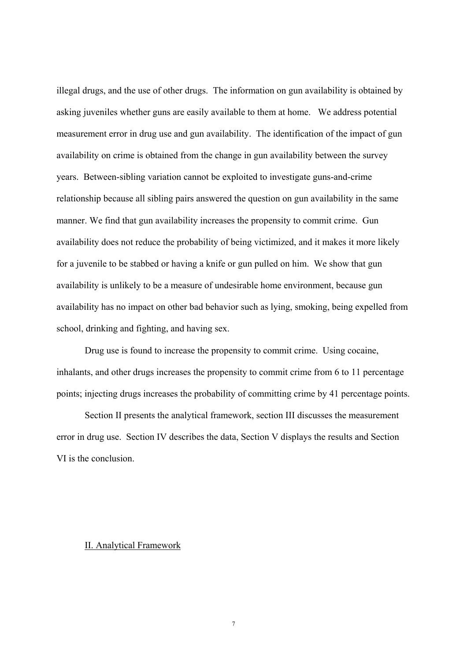illegal drugs, and the use of other drugs. The information on gun availability is obtained by asking juveniles whether guns are easily available to them at home. We address potential measurement error in drug use and gun availability. The identification of the impact of gun availability on crime is obtained from the change in gun availability between the survey years. Between-sibling variation cannot be exploited to investigate guns-and-crime relationship because all sibling pairs answered the question on gun availability in the same manner. We find that gun availability increases the propensity to commit crime. Gun availability does not reduce the probability of being victimized, and it makes it more likely for a juvenile to be stabbed or having a knife or gun pulled on him. We show that gun availability is unlikely to be a measure of undesirable home environment, because gun availability has no impact on other bad behavior such as lying, smoking, being expelled from school, drinking and fighting, and having sex.

Drug use is found to increase the propensity to commit crime. Using cocaine, inhalants, and other drugs increases the propensity to commit crime from 6 to 11 percentage points; injecting drugs increases the probability of committing crime by 41 percentage points.

Section II presents the analytical framework, section III discusses the measurement error in drug use. Section IV describes the data, Section V displays the results and Section VI is the conclusion.

### II. Analytical Framework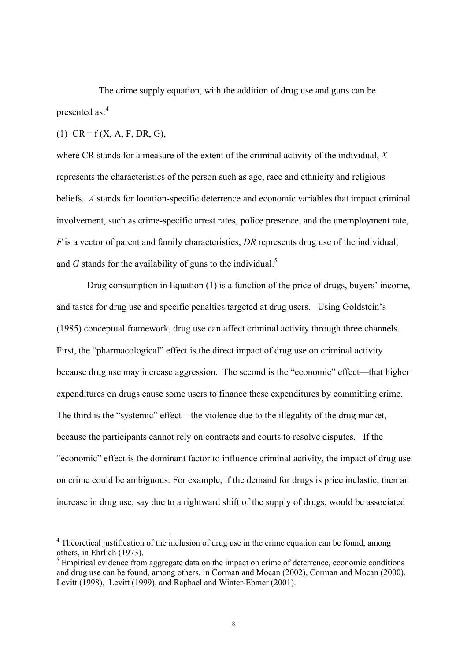The crime supply equation, with the addition of drug use and guns can be presented as:<sup>[4](#page-9-0)</sup>

(1)  $CR = f(X, A, F, DR, G)$ ,

where CR stands for a measure of the extent of the criminal activity of the individual, *X* represents the characteristics of the person such as age, race and ethnicity and religious beliefs. *A* stands for location-specific deterrence and economic variables that impact criminal involvement, such as crime-specific arrest rates, police presence, and the unemployment rate, *F* is a vector of parent and family characteristics, *DR* represents drug use of the individual, and  $G$  stands for the availability of guns to the individual.<sup>5</sup>

 Drug consumption in Equation (1) is a function of the price of drugs, buyers' income, and tastes for drug use and specific penalties targeted at drug users. Using Goldstein's (1985) conceptual framework, drug use can affect criminal activity through three channels. First, the "pharmacological" effect is the direct impact of drug use on criminal activity because drug use may increase aggression. The second is the "economic" effect—that higher expenditures on drugs cause some users to finance these expenditures by committing crime. The third is the "systemic" effect—the violence due to the illegality of the drug market, because the participants cannot rely on contracts and courts to resolve disputes. If the "economic" effect is the dominant factor to influence criminal activity, the impact of drug use on crime could be ambiguous. For example, if the demand for drugs is price inelastic, then an increase in drug use, say due to a rightward shift of the supply of drugs, would be associated

<span id="page-9-0"></span><sup>&</sup>lt;sup>4</sup> Theoretical justification of the inclusion of drug use in the crime equation can be found, among others, in Ehrlich (1973).

<span id="page-9-1"></span> $<sup>5</sup>$  Empirical evidence from aggregate data on the impact on crime of deterrence, economic conditions</sup> and drug use can be found, among others, in Corman and Mocan (2002), Corman and Mocan (2000), Levitt (1998), Levitt (1999), and Raphael and Winter-Ebmer (2001).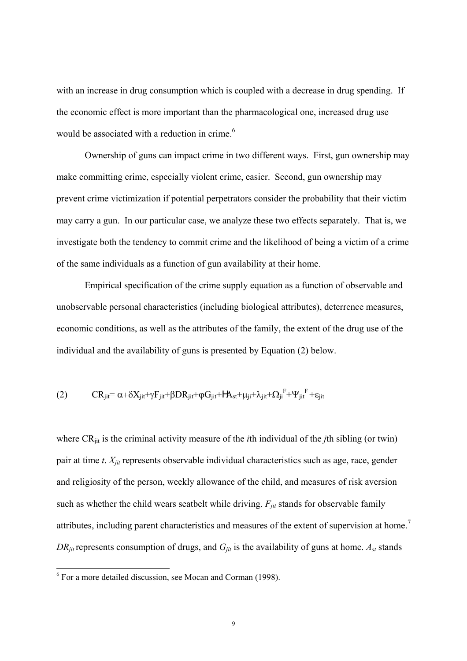with an increase in drug consumption which is coupled with a decrease in drug spending. If the economic effect is more important than the pharmacological one, increased drug use would be associated with a reduction in crime.<sup>[6](#page-10-0)</sup>

Ownership of guns can impact crime in two different ways. First, gun ownership may make committing crime, especially violent crime, easier. Second, gun ownership may prevent crime victimization if potential perpetrators consider the probability that their victim may carry a gun. In our particular case, we analyze these two effects separately. That is, we investigate both the tendency to commit crime and the likelihood of being a victim of a crime of the same individuals as a function of gun availability at their home.

Empirical specification of the crime supply equation as a function of observable and unobservable personal characteristics (including biological attributes), deterrence measures, economic conditions, as well as the attributes of the family, the extent of the drug use of the individual and the availability of guns is presented by Equation (2) below.

$$
(2) \qquad CR_{ji} = \alpha + \delta X_{jit} + \gamma F_{jit} + \beta DR_{jit} + \phi G_{jit} + HA_{st} + \mu_{ji} + \lambda_{jit} + \Omega_{ji}^{\ \ F} + \Psi_{jit}^{\ \ F} + \epsilon_{jit}
$$

where CR<sub>iit</sub> is the criminal activity measure of the *i*th individual of the *j*th sibling (or twin) pair at time *t*. *Xjit* represents observable individual characteristics such as age, race, gender and religiosity of the person, weekly allowance of the child, and measures of risk aversion such as whether the child wears seatbelt while driving.  $F_{jit}$  stands for observable family attributes, including parent characteristics and measures of the extent of supervision at home.<sup>[7](#page-10-1)</sup>  $DR_{\text{fit}}$  represents consumption of drugs, and  $G_{\text{fit}}$  is the availability of guns at home.  $A_{\text{st}}$  stands

<span id="page-10-1"></span><span id="page-10-0"></span> <sup>6</sup> For a more detailed discussion, see Mocan and Corman (1998).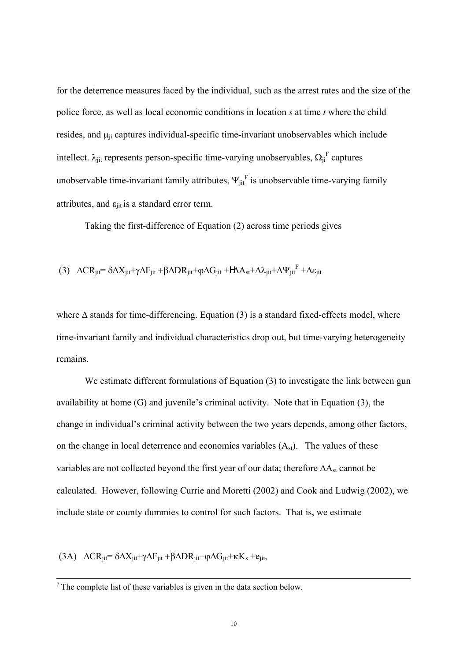for the deterrence measures faced by the individual, such as the arrest rates and the size of the police force, as well as local economic conditions in location *s* at time *t* where the child resides, and  $\mu$ <sub>ii</sub> captures individual-specific time-invariant unobservables which include intellect.  $\lambda_{\text{jit}}$  represents person-specific time-varying unobservables,  $\Omega_{\text{ji}}^F$  captures unobservable time-invariant family attributes,  $\Psi_{jit}^F$  is unobservable time-varying family attributes, and  $\varepsilon_{\text{ijt}}$  is a standard error term.

Taking the first-difference of Equation (2) across time periods gives

$$
(3) \ \ \Delta C R_{jit} = \delta \Delta X_{jit} + \gamma \Delta F_{jit} + \beta \Delta D R_{jit} + \varphi \Delta G_{jit} + H \Delta A_{st} + \Delta \lambda_{jit} + \Delta \Psi_{jit}^F + \Delta \epsilon_{jit}
$$

where  $\Delta$  stands for time-differencing. Equation (3) is a standard fixed-effects model, where time-invariant family and individual characteristics drop out, but time-varying heterogeneity remains.

We estimate different formulations of Equation (3) to investigate the link between gun availability at home (G) and juvenile's criminal activity. Note that in Equation (3), the change in individual's criminal activity between the two years depends, among other factors, on the change in local deterrence and economics variables  $(A<sub>st</sub>)$ . The values of these variables are not collected beyond the first year of our data; therefore ΔA<sub>st</sub> cannot be calculated. However, following Currie and Moretti (2002) and Cook and Ludwig (2002), we include state or county dummies to control for such factors. That is, we estimate

(3A)  $\Delta$ CR<sub>iit</sub>=  $\delta \Delta X_{\text{iif}} + \gamma \Delta F_{\text{iif}} + \beta \Delta D R_{\text{iif}} + \phi \Delta G_{\text{iif}} + \kappa K_s + e_{\text{iif}}$ 

 $\overline{\phantom{a}}$ 

 $7$  The complete list of these variables is given in the data section below.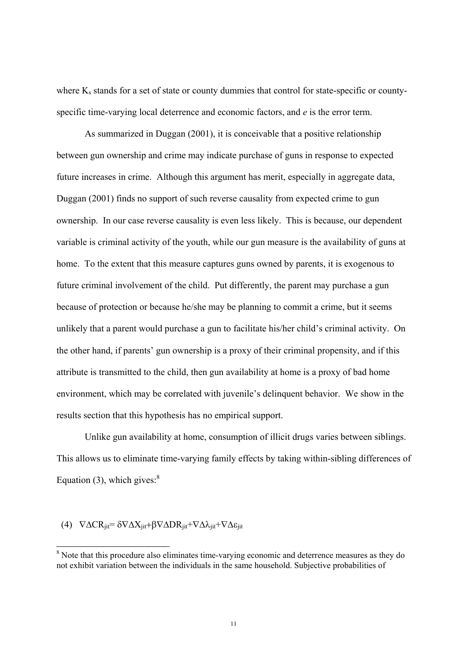<span id="page-12-0"></span>where  $K_s$  stands for a set of state or county dummies that control for state-specific or countyspecific time-varying local deterrence and economic factors, and *e* is the error term.

As summarized in Duggan (2001), it is conceivable that a positive relationship between gun ownership and crime may indicate purchase of guns in response to expected future increases in crime. Although this argument has merit, especially in aggregate data, Duggan (2001) finds no support of such reverse causality from expected crime to gun ownership. In our case reverse causality is even less likely. This is because, our dependent variable is criminal activity of the youth, while our gun measure is the availability of guns at home. To the extent that this measure captures guns owned by parents, it is exogenous to future criminal involvement of the child. Put differently, the parent may purchase a gun because of protection or because he/she may be planning to commit a crime, but it seems unlikely that a parent would purchase a gun to facilitate his/her child's criminal activity. On the other hand, if parents' gun ownership is a proxy of their criminal propensity, and if this attribute is transmitted to the child, then gun availability at home is a proxy of bad home environment, which may be correlated with juvenile's delinquent behavior. We show in the results section that this hypothesis has no empirical support.

Unlike gun availability at home, consumption of illicit drugs varies between siblings. This allows us to eliminate time-varying family effects by taking within-sibling differences of Equation (3), which gives: $8<sup>8</sup>$  $8<sup>8</sup>$ 

# (4)  $\nabla \Delta CR_{\text{jit}} = \delta \nabla \Delta X_{\text{jit}} + \beta \nabla \Delta DR_{\text{jit}} + \nabla \Delta \lambda_{\text{jit}} + \nabla \Delta \varepsilon_{\text{jit}}$

<sup>&</sup>lt;sup>8</sup> Note that this procedure also eliminates time-varying economic and deterrence measures as they do not exhibit variation between the individuals in the same household. Subjective probabilities of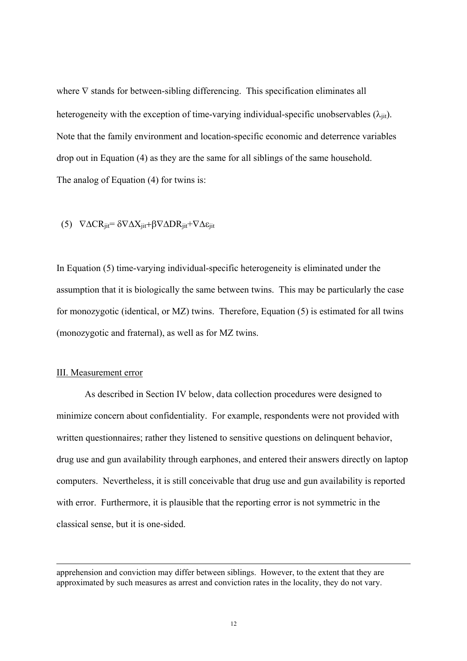where  $∇$  stands for between-sibling differencing. This specification eliminates all heterogeneity with the exception of time-varying individual-specific unobservables  $(\lambda_{\text{ijt}})$ . Note that the family environment and location-specific economic and deterrence variables drop out in Equation (4) as they are the same for all siblings of the same household. The analog of Equation (4) for twins is:

(5) 
$$
\nabla \Delta CR_{jit} = \delta \nabla \Delta X_{jit} + \beta \nabla \Delta DR_{jit} + \nabla \Delta \varepsilon_{jit}
$$

In Equation (5) time-varying individual-specific heterogeneity is eliminated under the assumption that it is biologically the same between twins. This may be particularly the case for monozygotic (identical, or MZ) twins. Therefore, Equation (5) is estimated for all twins (monozygotic and fraternal), as well as for MZ twins.

#### III. Measurement error

 $\overline{\phantom{a}}$ 

As described in Section IV below, data collection procedures were designed to minimize concern about confidentiality. For example, respondents were not provided with written questionnaires; rather they listened to sensitive questions on delinquent behavior, drug use and gun availability through earphones, and entered their answers directly on laptop computers. Nevertheless, it is still conceivable that drug use and gun availability is reported with error. Furthermore, it is plausible that the reporting error is not symmetric in the classical sense, but it is one-sided.

apprehension and conviction may differ between siblings. However, to the extent that they are approximated by such measures as arrest and conviction rates in the locality, they do not vary.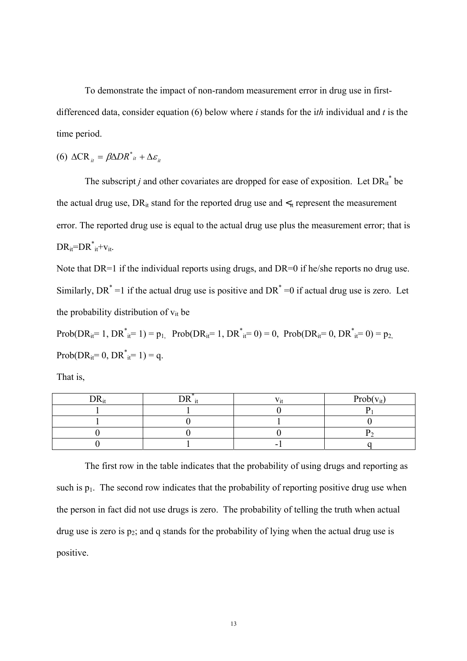To demonstrate the impact of non-random measurement error in drug use in firstdifferenced data, consider equation (6) below where *i* stands for the i*th* individual and *t* is the time period.

$$
(6) \ \Delta \mathbf{CR}_{it} = \beta \Delta D R^*_{it} + \Delta \varepsilon_{it}
$$

The subscript *j* and other covariates are dropped for ease of exposition. Let  $DR_{it}^*$  be the actual drug use,  $DR_{it}$  stand for the reported drug use and  $\lt_{it}$  represent the measurement error. The reported drug use is equal to the actual drug use plus the measurement error; that is  $DR_{it} = DR_{it}^* + v_{it}$ .

Note that DR=1 if the individual reports using drugs, and DR=0 if he/she reports no drug use. Similarly, DR<sup>\*</sup> =1 if the actual drug use is positive and DR<sup>\*</sup> =0 if actual drug use is zero. Let the probability distribution of  $v_{it}$  be

 $Prob(DR_{it} = 1, DR^*_{it} = 1) = p_1$ ,  $Prob(DR_{it} = 1, DR^*_{it} = 0) = 0$ ,  $Prob(DR_{it} = 0, DR^*_{it} = 0) = p_2$  $Prob(DR_{it} = 0, DR^*_{it} = 1) = q.$ 

That is,

| nn | <b>Y</b> T | $Prob(v_{it})$ |
|----|------------|----------------|
|    |            |                |
|    |            |                |
|    |            |                |
|    | -          |                |

The first row in the table indicates that the probability of using drugs and reporting as such is  $p_1$ . The second row indicates that the probability of reporting positive drug use when the person in fact did not use drugs is zero. The probability of telling the truth when actual drug use is zero is  $p_2$ ; and q stands for the probability of lying when the actual drug use is positive.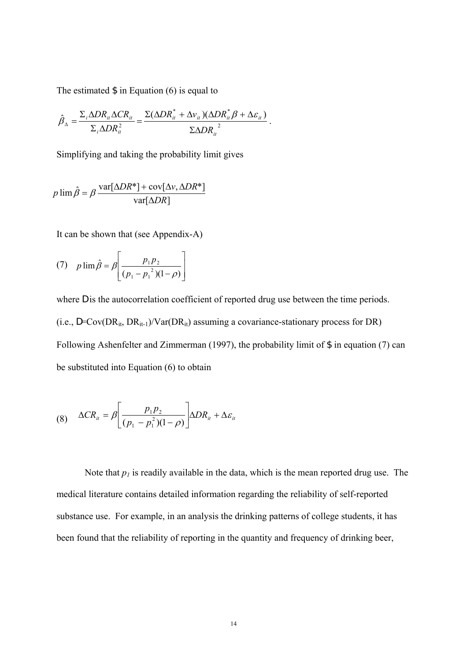The estimated  $\frac{1}{2}$  in Equation (6) is equal to

$$
\hat{\beta}_{\Delta} = \frac{\Sigma_i \Delta D R_{it} \Delta C R_{it}}{\Sigma_i \Delta D R_{it}^2} = \frac{\Sigma (\Delta D R_{it}^* + \Delta v_{it}) (\Delta D R_{it}^* \beta + \Delta \varepsilon_{it})}{\Sigma \Delta D R_{it}^2}.
$$

Simplifying and taking the probability limit gives

$$
p \lim \hat{\beta} = \beta \frac{\text{var}[\Delta D R^*] + \text{cov}[\Delta \nu, \Delta D R^*]}{\text{var}[\Delta D R]}
$$

It can be shown that (see Appendix-A)

(7) 
$$
p \lim \hat{\beta} = \beta \left[ \frac{p_1 p_2}{(p_1 - p_1^2)(1 - \rho)} \right]
$$

where D is the autocorrelation coefficient of reported drug use between the time periods. (i.e.,  $D=Cov(DR_{it}, DR_{it-1})/Var(DR_{it})$  assuming a covariance-stationary process for DR) Following Ashenfelter and Zimmerman (1997), the probability limit of \$ in equation (7) can be substituted into Equation (6) to obtain

$$
(8) \quad \Delta CR_{it} = \beta \left[ \frac{p_1 p_2}{(p_1 - p_1^2)(1 - \rho)} \right] \Delta DR_{it} + \Delta \varepsilon_{it}
$$

Note that  $p_1$  is readily available in the data, which is the mean reported drug use. The medical literature contains detailed information regarding the reliability of self-reported substance use. For example, in an analysis the drinking patterns of college students, it has been found that the reliability of reporting in the quantity and frequency of drinking beer,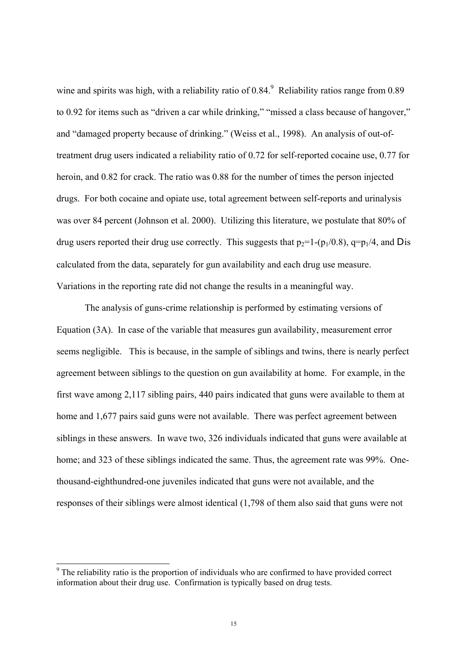wine and spirits was high, with a reliability ratio of 0.84. Reliability ratios range from 0.8[9](#page-16-0) to 0.92 for items such as "driven a car while drinking," "missed a class because of hangover," and "damaged property because of drinking." (Weiss et al., 1998). An analysis of out-oftreatment drug users indicated a reliability ratio of 0.72 for self-reported cocaine use, 0.77 for heroin, and 0.82 for crack. The ratio was 0.88 for the number of times the person injected drugs. For both cocaine and opiate use, total agreement between self-reports and urinalysis was over 84 percent (Johnson et al. 2000). Utilizing this literature, we postulate that 80% of drug users reported their drug use correctly. This suggests that  $p_2=1-(p_1/0.8)$ ,  $q=p_1/4$ , and D is calculated from the data, separately for gun availability and each drug use measure. Variations in the reporting rate did not change the results in a meaningful way.

The analysis of guns-crime relationship is performed by estimating versions of Equation (3A). In case of the variable that measures gun availability, measurement error seems negligible. This is because, in the sample of siblings and twins, there is nearly perfect agreement between siblings to the question on gun availability at home. For example, in the first wave among 2,117 sibling pairs, 440 pairs indicated that guns were available to them at home and 1,677 pairs said guns were not available. There was perfect agreement between siblings in these answers. In wave two, 326 individuals indicated that guns were available at home; and 323 of these siblings indicated the same. Thus, the agreement rate was 99%. Onethousand-eighthundred-one juveniles indicated that guns were not available, and the responses of their siblings were almost identical (1,798 of them also said that guns were not

<span id="page-16-0"></span><sup>&</sup>lt;sup>9</sup> The reliability ratio is the proportion of individuals who are confirmed to have provided correct information about their drug use. Confirmation is typically based on drug tests.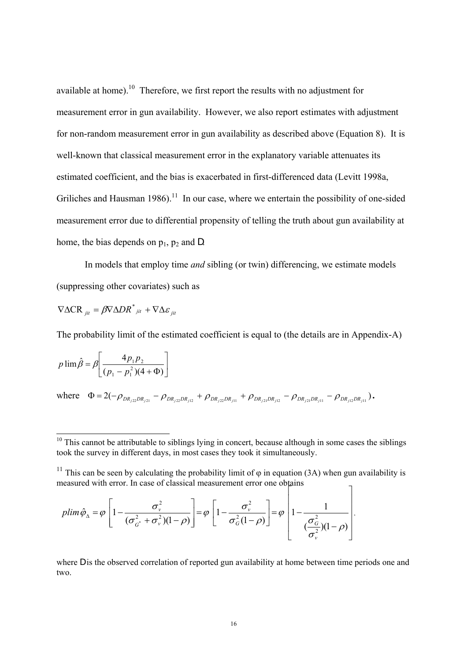available at home).<sup>10</sup> Therefore, we first report the results with no adjustment for measurement error in gun availability. However, we also report estimates with adjustment for non-random measurement error in gun availability as described above (Equation 8). It is well-known that classical measurement error in the explanatory variable attenuates its estimated coefficient, and the bias is exacerbated in first-differenced data (Levitt 1998a, Griliches and Hausman 1986).<sup>11</sup> In our case, where we entertain the possibility of one-sided measurement error due to differential propensity of telling the truth about gun availability at home, the bias depends on  $p_1$ ,  $p_2$  and D.

In models that employ time *and* sibling (or twin) differencing, we estimate models (suppressing other covariates) such as

$$
\nabla \Delta CR_{jit} = \beta \nabla \Delta DR^*_{jit} + \nabla \Delta \varepsilon_{jit}
$$

The probability limit of the estimated coefficient is equal to (the details are in Appendix-A)

$$
p \lim \hat{\beta} = \beta \left[ \frac{4p_1p_2}{(p_1 - p_1^2)(4 + \Phi)} \right]
$$

 $\text{where} \quad \Phi = 2(-\rho_{DR_{i22}DR_{i21}} - \rho_{DR_{i22}DR_{i12}} + \rho_{DR_{i22}DR_{i11}} + \rho_{DR_{i21}DR_{i12}} - \rho_{DR_{i21}DR_{i11}} - \rho_{DR_{i22}DR_{i11}}).$ 

$$
plim \hat{\varphi}_{\Delta} = \varphi \left[ 1 - \frac{\sigma_v^2}{(\sigma_{G^*}^2 + \sigma_v^2)(1 - \rho)} \right] = \varphi \left[ 1 - \frac{\sigma_v^2}{\sigma_G^2(1 - \rho)} \right] = \varphi \left[ 1 - \frac{1}{(\frac{\sigma_G^2}{\sigma_v^2})(1 - \rho)} \right],
$$

where D is the observed correlation of reported gun availability at home between time periods one and two.

<span id="page-17-0"></span> $10$  This cannot be attributable to siblings lying in concert, because although in some cases the siblings took the survey in different days, in most cases they took it simultaneously.

<span id="page-17-1"></span><sup>&</sup>lt;sup>11</sup> This can be seen by calculating the probability limit of  $\varphi$  in equation (3A) when gun availability is measured with error. In case of classical measurement error one obtains ٦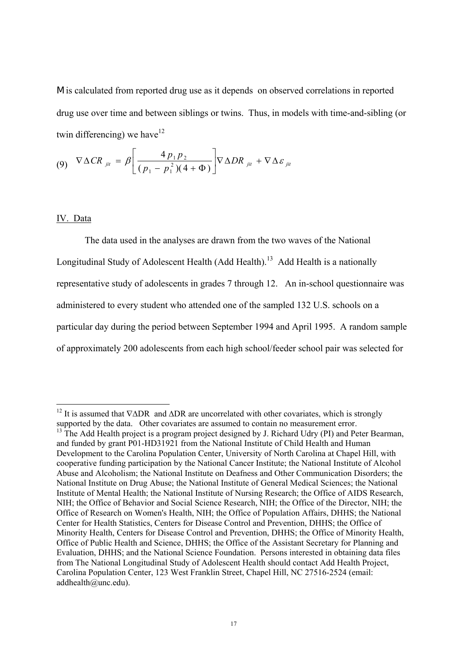M is calculated from reported drug use as it depends on observed correlations in reported drug use over time and between siblings or twins. Thus, in models with time-and-sibling (or twin differencing) we have  $12$ 

$$
(9) \quad \nabla \Delta CR_{jit} = \beta \left[ \frac{4 \, p_1 p_2}{(p_1 - p_1^2)(4 + \Phi)} \right] \nabla \Delta DR_{jit} + \nabla \Delta \varepsilon_{jit}
$$

# IV. Data

The data used in the analyses are drawn from the two waves of the National Longitudinal Study of Adolescent Health (Add Health).<sup>13</sup> Add Health is a nationally representative study of adolescents in grades 7 through 12. An in-school questionnaire was administered to every student who attended one of the sampled 132 U.S. schools on a particular day during the period between September 1994 and April 1995. A random sample of approximately 200 adolescents from each high school/feeder school pair was selected for

<span id="page-18-0"></span><sup>&</sup>lt;sup>12</sup> It is assumed that  $\nabla \Delta \text{DR}$  and  $\Delta \text{DR}$  are uncorrelated with other covariates, which is strongly supported by the data. Other covariates are assumed to contain no measurement error.

<span id="page-18-1"></span> $^{13}$  The Add Health project is a program project designed by J. Richard Udry (PI) and Peter Bearman, and funded by grant P01-HD31921 from the National Institute of Child Health and Human Development to the Carolina Population Center, University of North Carolina at Chapel Hill, with cooperative funding participation by the National Cancer Institute; the National Institute of Alcohol Abuse and Alcoholism; the National Institute on Deafness and Other Communication Disorders; the National Institute on Drug Abuse; the National Institute of General Medical Sciences; the National Institute of Mental Health; the National Institute of Nursing Research; the Office of AIDS Research, NIH; the Office of Behavior and Social Science Research, NIH; the Office of the Director, NIH; the Office of Research on Women's Health, NIH; the Office of Population Affairs, DHHS; the National Center for Health Statistics, Centers for Disease Control and Prevention, DHHS; the Office of Minority Health, Centers for Disease Control and Prevention, DHHS; the Office of Minority Health, Office of Public Health and Science, DHHS; the Office of the Assistant Secretary for Planning and Evaluation, DHHS; and the National Science Foundation. Persons interested in obtaining data files from The National Longitudinal Study of Adolescent Health should contact Add Health Project, Carolina Population Center, 123 West Franklin Street, Chapel Hill, NC 27516-2524 (email: addhealth@unc.edu).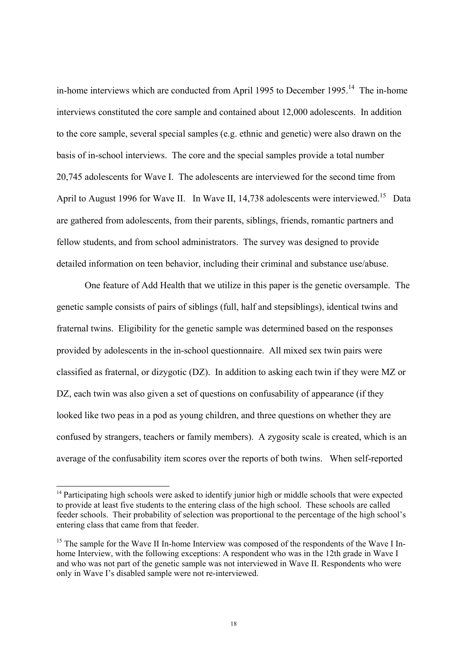in-home interviews which are conducted from April 1995 to December 1995.<sup>14</sup> The in-home interviews constituted the core sample and contained about 12,000 adolescents. In addition to the core sample, several special samples (e.g. ethnic and genetic) were also drawn on the basis of in-school interviews. The core and the special samples provide a total number 20,745 adolescents for Wave I. The adolescents are interviewed for the second time from April to August 1996 for Wave II. In Wave II, 14,738 adolescents were interviewed.<sup>15</sup> Data are gathered from adolescents, from their parents, siblings, friends, romantic partners and fellow students, and from school administrators. The survey was designed to provide detailed information on teen behavior, including their criminal and substance use/abuse.

One feature of Add Health that we utilize in this paper is the genetic oversample. The genetic sample consists of pairs of siblings (full, half and stepsiblings), identical twins and fraternal twins. Eligibility for the genetic sample was determined based on the responses provided by adolescents in the in-school questionnaire. All mixed sex twin pairs were classified as fraternal, or dizygotic (DZ). In addition to asking each twin if they were MZ or DZ, each twin was also given a set of questions on confusability of appearance (if they looked like two peas in a pod as young children, and three questions on whether they are confused by strangers, teachers or family members). A zygosity scale is created, which is an average of the confusability item scores over the reports of both twins. When self-reported

<span id="page-19-0"></span><sup>&</sup>lt;sup>14</sup> Participating high schools were asked to identify junior high or middle schools that were expected to provide at least five students to the entering class of the high school. These schools are called feeder schools. Their probability of selection was proportional to the percentage of the high school's entering class that came from that feeder.

<span id="page-19-1"></span> $15$  The sample for the Wave II In-home Interview was composed of the respondents of the Wave I Inhome Interview, with the following exceptions: A respondent who was in the 12th grade in Wave I and who was not part of the genetic sample was not interviewed in Wave II. Respondents who were only in Wave I's disabled sample were not re-interviewed.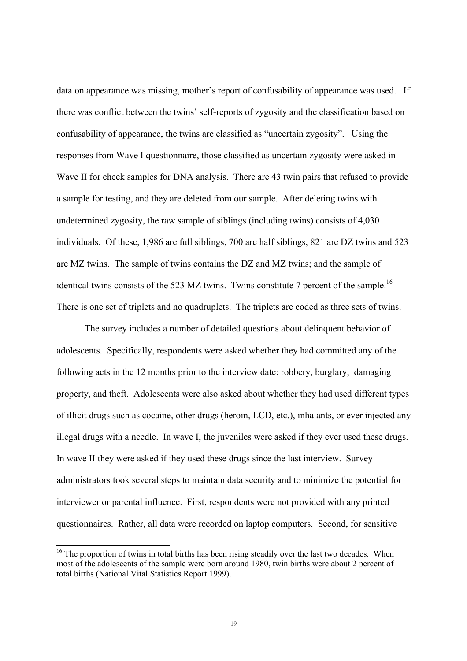data on appearance was missing, mother's report of confusability of appearance was used. If there was conflict between the twins' self-reports of zygosity and the classification based on confusability of appearance, the twins are classified as "uncertain zygosity". Using the responses from Wave I questionnaire, those classified as uncertain zygosity were asked in Wave II for cheek samples for DNA analysis. There are 43 twin pairs that refused to provide a sample for testing, and they are deleted from our sample. After deleting twins with undetermined zygosity, the raw sample of siblings (including twins) consists of 4,030 individuals. Of these, 1,986 are full siblings, 700 are half siblings, 821 are DZ twins and 523 are MZ twins. The sample of twins contains the DZ and MZ twins; and the sample of identical twins consists of the 523 MZ twins. Twins constitute 7 percent of the sample.<sup>16</sup> There is one set of triplets and no quadruplets. The triplets are coded as three sets of twins.

The survey includes a number of detailed questions about delinquent behavior of adolescents. Specifically, respondents were asked whether they had committed any of the following acts in the 12 months prior to the interview date: robbery, burglary, damaging property, and theft. Adolescents were also asked about whether they had used different types of illicit drugs such as cocaine, other drugs (heroin, LCD, etc.), inhalants, or ever injected any illegal drugs with a needle. In wave I, the juveniles were asked if they ever used these drugs. In wave II they were asked if they used these drugs since the last interview. Survey administrators took several steps to maintain data security and to minimize the potential for interviewer or parental influence. First, respondents were not provided with any printed questionnaires. Rather, all data were recorded on laptop computers. Second, for sensitive

<span id="page-20-0"></span><sup>&</sup>lt;sup>16</sup> The proportion of twins in total births has been rising steadily over the last two decades. When most of the adolescents of the sample were born around 1980, twin births were about 2 percent of total births (National Vital Statistics Report 1999).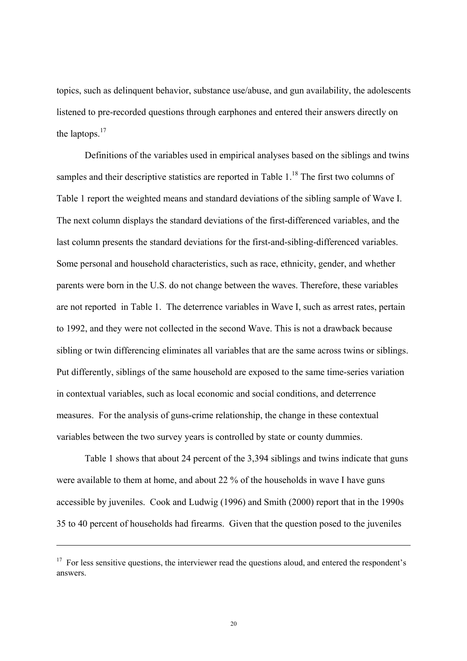<span id="page-21-1"></span>topics, such as delinquent behavior, substance use/abuse, and gun availability, the adolescents listened to pre-recorded questions through earphones and entered their answers directly on the laptops.<sup>[17](#page-21-0)</sup>

Definitions of the variables used in empirical analyses based on the siblings and twins samples and their descriptive statistics are reported in Table  $1<sup>18</sup>$ . The first two columns of Table 1 report the weighted means and standard deviations of the sibling sample of Wave I. The next column displays the standard deviations of the first-differenced variables, and the last column presents the standard deviations for the first-and-sibling-differenced variables. Some personal and household characteristics, such as race, ethnicity, gender, and whether parents were born in the U.S. do not change between the waves. Therefore, these variables are not reported in Table 1. The deterrence variables in Wave I, such as arrest rates, pertain to 1992, and they were not collected in the second Wave. This is not a drawback because sibling or twin differencing eliminates all variables that are the same across twins or siblings. Put differently, siblings of the same household are exposed to the same time-series variation in contextual variables, such as local economic and social conditions, and deterrence measures. For the analysis of guns-crime relationship, the change in these contextual variables between the two survey years is controlled by state or county dummies.

Table 1 shows that about 24 percent of the 3,394 siblings and twins indicate that guns were available to them at home, and about 22 % of the households in wave I have guns accessible by juveniles. Cook and Ludwig (1996) and Smith (2000) report that in the 1990s 35 to 40 percent of households had firearms. Given that the question posed to the juveniles

 $\overline{\phantom{a}}$ 

<span id="page-21-0"></span> $17$  For less sensitive questions, the interviewer read the questions aloud, and entered the respondent's answers.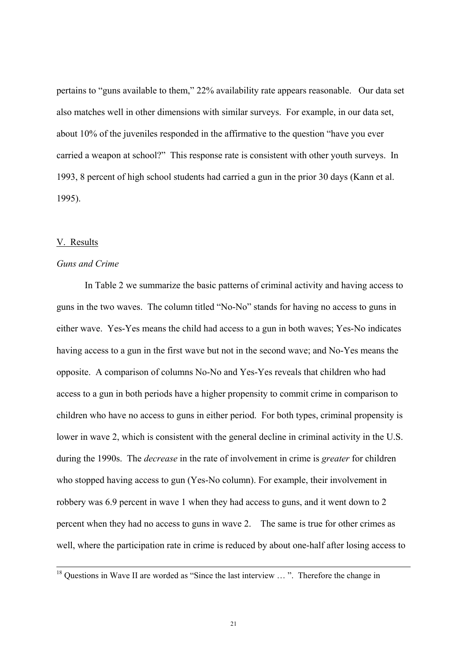pertains to "guns available to them," 22% availability rate appears reasonable. Our data set also matches well in other dimensions with similar surveys. For example, in our data set, about 10% of the juveniles responded in the affirmative to the question "have you ever carried a weapon at school?" This response rate is consistent with other youth surveys. In 1993, 8 percent of high school students had carried a gun in the prior 30 days (Kann et al. 1995).

#### V. Results

# *Guns and Crime*

In Table 2 we summarize the basic patterns of criminal activity and having access to guns in the two waves. The column titled "No-No" stands for having no access to guns in either wave. Yes-Yes means the child had access to a gun in both waves; Yes-No indicates having access to a gun in the first wave but not in the second wave; and No-Yes means the opposite. A comparison of columns No-No and Yes-Yes reveals that children who had access to a gun in both periods have a higher propensity to commit crime in comparison to children who have no access to guns in either period. For both types, criminal propensity is lower in wave 2, which is consistent with the general decline in criminal activity in the U.S. during the 1990s. The *decrease* in the rate of involvement in crime is *greater* for children who stopped having access to gun (Yes-No column). For example, their involvement in robbery was 6.9 percent in wave 1 when they had access to guns, and it went down to 2 percent when they had no access to guns in wave 2. The same is true for other crimes as well, where the participation rate in crime is reduced by about one-half after losing access to

<sup>&</sup>lt;sup>18</sup> Questions in Wave II are worded as "Since the last interview ...". Therefore the change in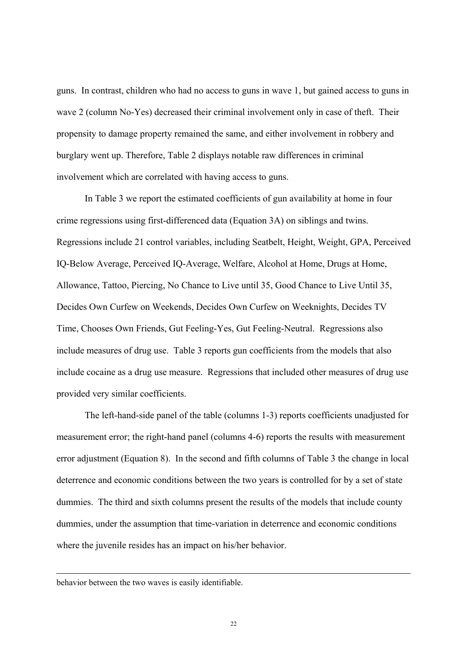guns. In contrast, children who had no access to guns in wave 1, but gained access to guns in wave 2 (column No-Yes) decreased their criminal involvement only in case of theft. Their propensity to damage property remained the same, and either involvement in robbery and burglary went up. Therefore, Table 2 displays notable raw differences in criminal involvement which are correlated with having access to guns.

In Table 3 we report the estimated coefficients of gun availability at home in four crime regressions using first-differenced data (Equation 3A) on siblings and twins. Regressions include 21 control variables, including Seatbelt, Height, Weight, GPA, Perceived IQ-Below Average, Perceived IQ-Average, Welfare, Alcohol at Home, Drugs at Home, Allowance, Tattoo, Piercing, No Chance to Live until 35, Good Chance to Live Until 35, Decides Own Curfew on Weekends, Decides Own Curfew on Weeknights, Decides TV Time, Chooses Own Friends, Gut Feeling-Yes, Gut Feeling-Neutral. Regressions also include measures of drug use. Table 3 reports gun coefficients from the models that also include cocaine as a drug use measure. Regressions that included other measures of drug use provided very similar coefficients.

The left-hand-side panel of the table (columns 1-3) reports coefficients unadjusted for measurement error; the right-hand panel (columns 4-6) reports the results with measurement error adjustment (Equation 8). In the second and fifth columns of Table 3 the change in local deterrence and economic conditions between the two years is controlled for by a set of state dummies. The third and sixth columns present the results of the models that include county dummies, under the assumption that time-variation in deterrence and economic conditions where the juvenile resides has an impact on his/her behavior.

#### behavior between the two waves is easily identifiable.

 $\overline{a}$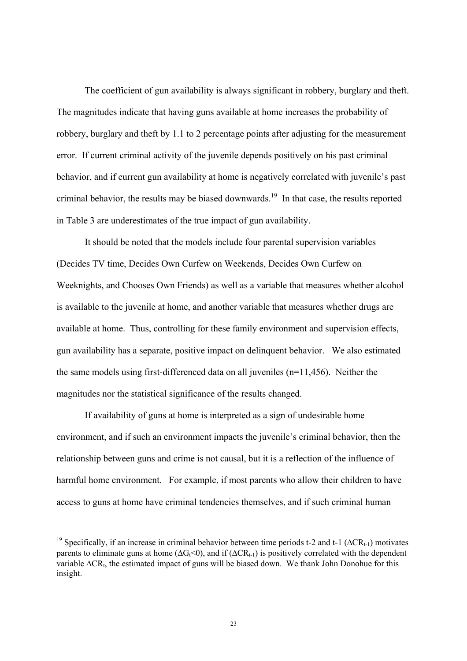The coefficient of gun availability is always significant in robbery, burglary and theft. The magnitudes indicate that having guns available at home increases the probability of robbery, burglary and theft by 1.1 to 2 percentage points after adjusting for the measurement error. If current criminal activity of the juvenile depends positively on his past criminal behavior, and if current gun availability at home is negatively correlated with juvenile's past criminal behavior, the results may be biased downwards.<sup>19</sup> In that case, the results reported in Table 3 are underestimates of the true impact of gun availability.

It should be noted that the models include four parental supervision variables (Decides TV time, Decides Own Curfew on Weekends, Decides Own Curfew on Weeknights, and Chooses Own Friends) as well as a variable that measures whether alcohol is available to the juvenile at home, and another variable that measures whether drugs are available at home. Thus, controlling for these family environment and supervision effects, gun availability has a separate, positive impact on delinquent behavior. We also estimated the same models using first-differenced data on all juveniles (n=11,456). Neither the magnitudes nor the statistical significance of the results changed.

If availability of guns at home is interpreted as a sign of undesirable home environment, and if such an environment impacts the juvenile's criminal behavior, then the relationship between guns and crime is not causal, but it is a reflection of the influence of harmful home environment. For example, if most parents who allow their children to have access to guns at home have criminal tendencies themselves, and if such criminal human

<span id="page-24-0"></span><sup>&</sup>lt;sup>19</sup> Specifically, if an increase in criminal behavior between time periods t-2 and t-1 ( $\Delta$ CR<sub>t-1</sub>) motivates parents to eliminate guns at home ( $\Delta G_f$ <0), and if ( $\Delta CR_{t-1}$ ) is positively correlated with the dependent variable ∆CR<sub>t</sub>, the estimated impact of guns will be biased down. We thank John Donohue for this insight.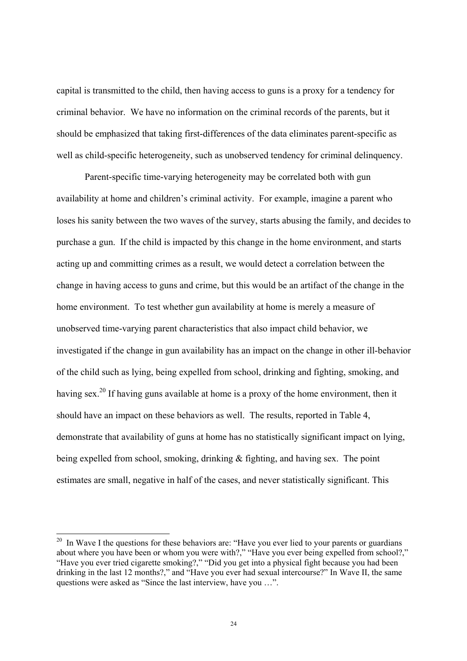capital is transmitted to the child, then having access to guns is a proxy for a tendency for criminal behavior. We have no information on the criminal records of the parents, but it should be emphasized that taking first-differences of the data eliminates parent-specific as well as child-specific heterogeneity, such as unobserved tendency for criminal delinquency.

Parent-specific time-varying heterogeneity may be correlated both with gun availability at home and children's criminal activity. For example, imagine a parent who loses his sanity between the two waves of the survey, starts abusing the family, and decides to purchase a gun. If the child is impacted by this change in the home environment, and starts acting up and committing crimes as a result, we would detect a correlation between the change in having access to guns and crime, but this would be an artifact of the change in the home environment. To test whether gun availability at home is merely a measure of unobserved time-varying parent characteristics that also impact child behavior, we investigated if the change in gun availability has an impact on the change in other ill-behavior of the child such as lying, being expelled from school, drinking and fighting, smoking, and having sex.<sup>20</sup> If having guns available at home is a proxy of the home environment, then it should have an impact on these behaviors as well. The results, reported in Table 4, demonstrate that availability of guns at home has no statistically significant impact on lying, being expelled from school, smoking, drinking & fighting, and having sex. The point estimates are small, negative in half of the cases, and never statistically significant. This

<span id="page-25-0"></span><sup>&</sup>lt;sup>20</sup> In Wave I the questions for these behaviors are: "Have you ever lied to your parents or guardians about where you have been or whom you were with?," "Have you ever being expelled from school?," "Have you ever tried cigarette smoking?," "Did you get into a physical fight because you had been drinking in the last 12 months?," and "Have you ever had sexual intercourse?" In Wave II, the same questions were asked as "Since the last interview, have you …".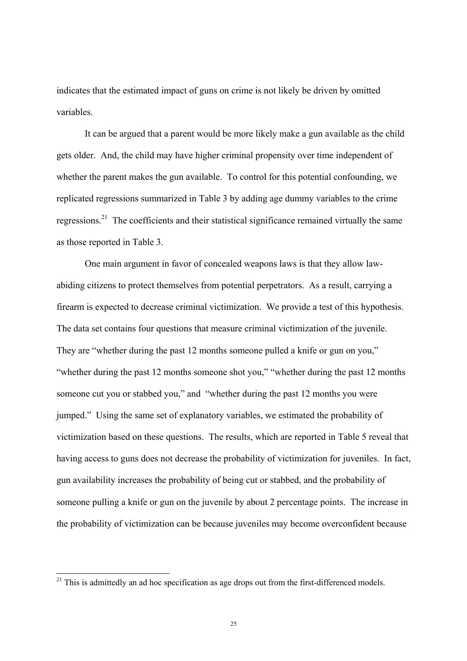indicates that the estimated impact of guns on crime is not likely be driven by omitted variables.

It can be argued that a parent would be more likely make a gun available as the child gets older. And, the child may have higher criminal propensity over time independent of whether the parent makes the gun available. To control for this potential confounding, we replicated regressions summarized in Table 3 by adding age dummy variables to the crime regressions[.21](#page-26-0) The coefficients and their statistical significance remained virtually the same as those reported in Table 3.

One main argument in favor of concealed weapons laws is that they allow lawabiding citizens to protect themselves from potential perpetrators. As a result, carrying a firearm is expected to decrease criminal victimization. We provide a test of this hypothesis. The data set contains four questions that measure criminal victimization of the juvenile. They are "whether during the past 12 months someone pulled a knife or gun on you," "whether during the past 12 months someone shot you," "whether during the past 12 months someone cut you or stabbed you," and "whether during the past 12 months you were jumped." Using the same set of explanatory variables, we estimated the probability of victimization based on these questions. The results, which are reported in Table 5 reveal that having access to guns does not decrease the probability of victimization for juveniles. In fact, gun availability increases the probability of being cut or stabbed, and the probability of someone pulling a knife or gun on the juvenile by about 2 percentage points. The increase in the probability of victimization can be because juveniles may become overconfident because

<span id="page-26-0"></span> $21$  This is admittedly an ad hoc specification as age drops out from the first-differenced models.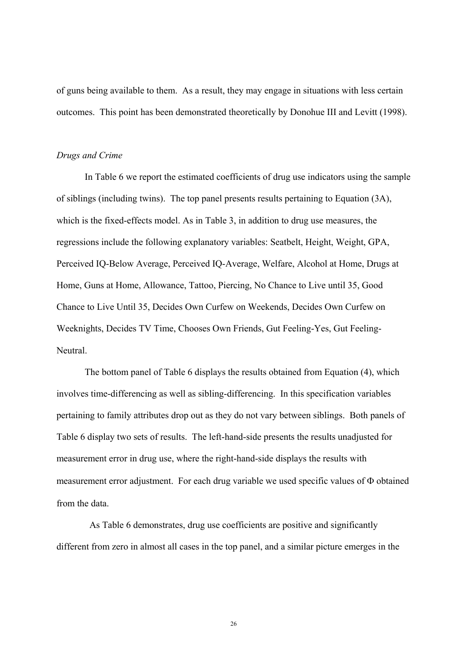of guns being available to them. As a result, they may engage in situations with less certain outcomes. This point has been demonstrated theoretically by Donohue III and Levitt (1998).

### *Drugs and Crime*

In Table 6 we report the estimated coefficients of drug use indicators using the sample of siblings (including twins). The top panel presents results pertaining to Equation (3A), which is the fixed-effects model. As in Table 3, in addition to drug use measures, the regressions include the following explanatory variables: Seatbelt, Height, Weight, GPA, Perceived IQ-Below Average, Perceived IQ-Average, Welfare, Alcohol at Home, Drugs at Home, Guns at Home, Allowance, Tattoo, Piercing, No Chance to Live until 35, Good Chance to Live Until 35, Decides Own Curfew on Weekends, Decides Own Curfew on Weeknights, Decides TV Time, Chooses Own Friends, Gut Feeling-Yes, Gut Feeling-Neutral.

The bottom panel of Table 6 displays the results obtained from Equation (4), which involves time-differencing as well as sibling-differencing. In this specification variables pertaining to family attributes drop out as they do not vary between siblings. Both panels of Table 6 display two sets of results. The left-hand-side presents the results unadjusted for measurement error in drug use, where the right-hand-side displays the results with measurement error adjustment. For each drug variable we used specific values of Φ obtained from the data.

 As Table 6 demonstrates, drug use coefficients are positive and significantly different from zero in almost all cases in the top panel, and a similar picture emerges in the

26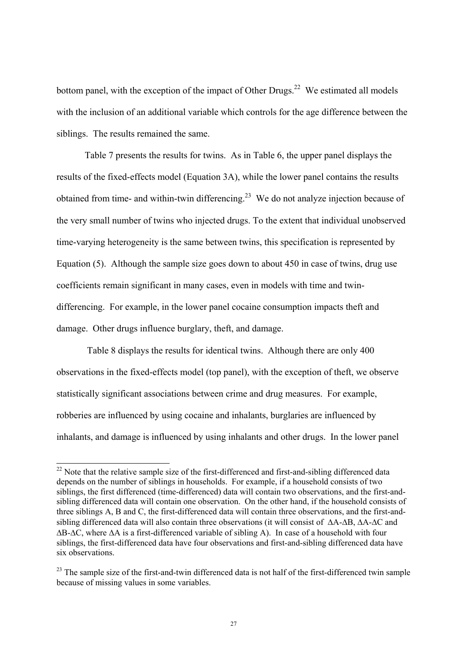bottom panel, with the exception of the impact of Other Drugs.<sup>22</sup> We estimated all models with the inclusion of an additional variable which controls for the age difference between the siblings. The results remained the same.

Table 7 presents the results for twins. As in Table 6, the upper panel displays the results of the fixed-effects model (Equation 3A), while the lower panel contains the results obtained from time- and within-twin differencing.<sup>23</sup> We do not analyze injection because of the very small number of twins who injected drugs. To the extent that individual unobserved time-varying heterogeneity is the same between twins, this specification is represented by Equation (5). Although the sample size goes down to about 450 in case of twins, drug use coefficients remain significant in many cases, even in models with time and twindifferencing. For example, in the lower panel cocaine consumption impacts theft and damage. Other drugs influence burglary, theft, and damage.

 Table 8 displays the results for identical twins. Although there are only 400 observations in the fixed-effects model (top panel), with the exception of theft, we observe statistically significant associations between crime and drug measures. For example, robberies are influenced by using cocaine and inhalants, burglaries are influenced by inhalants, and damage is influenced by using inhalants and other drugs. In the lower panel

<span id="page-28-0"></span><sup>&</sup>lt;sup>22</sup> Note that the relative sample size of the first-differenced and first-and-sibling differenced data depends on the number of siblings in households. For example, if a household consists of two siblings, the first differenced (time-differenced) data will contain two observations, and the first-andsibling differenced data will contain one observation. On the other hand, if the household consists of three siblings A, B and C, the first-differenced data will contain three observations, and the first-andsibling differenced data will also contain three observations (it will consist of ∆A-∆B, ∆A-∆C and ∆B-∆C, where ∆A is a first-differenced variable of sibling A). In case of a household with four siblings, the first-differenced data have four observations and first-and-sibling differenced data have six observations.

<span id="page-28-1"></span><sup>&</sup>lt;sup>23</sup> The sample size of the first-and-twin differenced data is not half of the first-differenced twin sample because of missing values in some variables.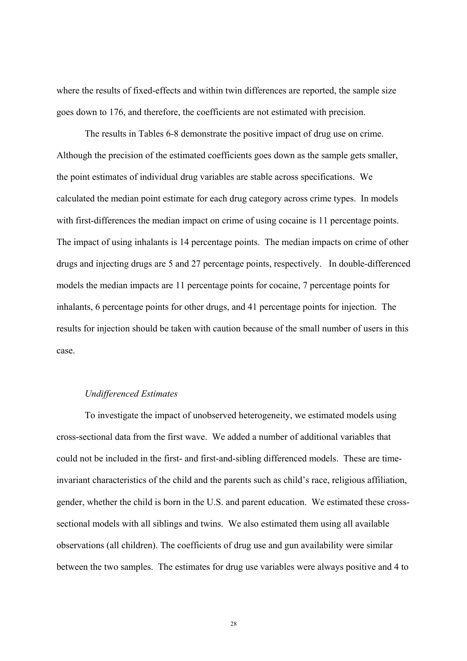where the results of fixed-effects and within twin differences are reported, the sample size goes down to 176, and therefore, the coefficients are not estimated with precision.

The results in Tables 6-8 demonstrate the positive impact of drug use on crime. Although the precision of the estimated coefficients goes down as the sample gets smaller, the point estimates of individual drug variables are stable across specifications. We calculated the median point estimate for each drug category across crime types. In models with first-differences the median impact on crime of using cocaine is 11 percentage points. The impact of using inhalants is 14 percentage points. The median impacts on crime of other drugs and injecting drugs are 5 and 27 percentage points, respectively. In double-differenced models the median impacts are 11 percentage points for cocaine, 7 percentage points for inhalants, 6 percentage points for other drugs, and 41 percentage points for injection. The results for injection should be taken with caution because of the small number of users in this case.

# *Undifferenced Estimates*

To investigate the impact of unobserved heterogeneity, we estimated models using cross-sectional data from the first wave. We added a number of additional variables that could not be included in the first- and first-and-sibling differenced models. These are timeinvariant characteristics of the child and the parents such as child's race, religious affiliation, gender, whether the child is born in the U.S. and parent education. We estimated these crosssectional models with all siblings and twins. We also estimated them using all available observations (all children). The coefficients of drug use and gun availability were similar between the two samples. The estimates for drug use variables were always positive and 4 to

28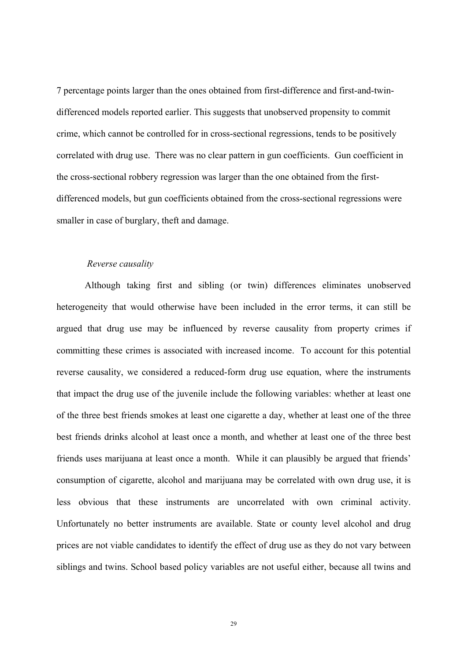7 percentage points larger than the ones obtained from first-difference and first-and-twindifferenced models reported earlier. This suggests that unobserved propensity to commit crime, which cannot be controlled for in cross-sectional regressions, tends to be positively correlated with drug use. There was no clear pattern in gun coefficients. Gun coefficient in the cross-sectional robbery regression was larger than the one obtained from the firstdifferenced models, but gun coefficients obtained from the cross-sectional regressions were smaller in case of burglary, theft and damage.

# *Reverse causality*

Although taking first and sibling (or twin) differences eliminates unobserved heterogeneity that would otherwise have been included in the error terms, it can still be argued that drug use may be influenced by reverse causality from property crimes if committing these crimes is associated with increased income. To account for this potential reverse causality, we considered a reduced-form drug use equation, where the instruments that impact the drug use of the juvenile include the following variables: whether at least one of the three best friends smokes at least one cigarette a day, whether at least one of the three best friends drinks alcohol at least once a month, and whether at least one of the three best friends uses marijuana at least once a month. While it can plausibly be argued that friends' consumption of cigarette, alcohol and marijuana may be correlated with own drug use, it is less obvious that these instruments are uncorrelated with own criminal activity. Unfortunately no better instruments are available. State or county level alcohol and drug prices are not viable candidates to identify the effect of drug use as they do not vary between siblings and twins. School based policy variables are not useful either, because all twins and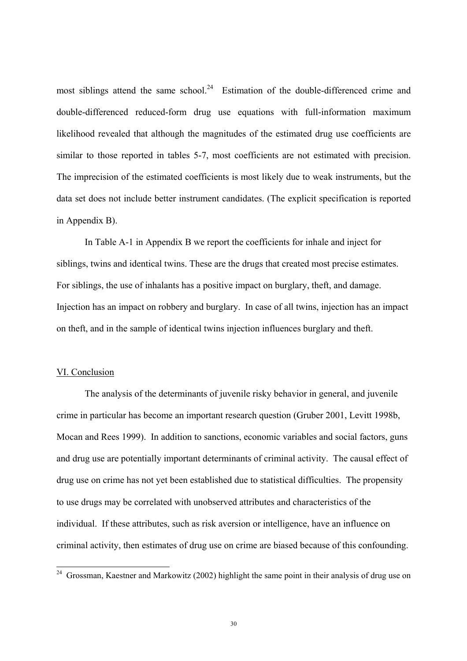<span id="page-31-0"></span>most siblings attend the same school.<sup>24</sup> Estimation of the double-differenced crime and double-differenced reduced-form drug use equations with full-information maximum likelihood revealed that although the magnitudes of the estimated drug use coefficients are similar to those reported in tables 5-7, most coefficients are not estimated with precision. The imprecision of the estimated coefficients is most likely due to weak instruments, but the data set does not include better instrument candidates. (The explicit specification is reported in Appendix B).

In Table A-1 in Appendix B we report the coefficients for inhale and inject for siblings, twins and identical twins. These are the drugs that created most precise estimates. For siblings, the use of inhalants has a positive impact on burglary, theft, and damage. Injection has an impact on robbery and burglary. In case of all twins, injection has an impact on theft, and in the sample of identical twins injection influences burglary and theft.

#### VI. Conclusion

The analysis of the determinants of juvenile risky behavior in general, and juvenile crime in particular has become an important research question (Gruber 2001, Levitt 1998b, Mocan and Rees 1999). In addition to sanctions, economic variables and social factors, guns and drug use are potentially important determinants of criminal activity. The causal effect of drug use on crime has not yet been established due to statistical difficulties. The propensity to use drugs may be correlated with unobserved attributes and characteristics of the individual. If these attributes, such as risk aversion or intelligence, have an influence on criminal activity, then estimates of drug use on crime are biased because of this confounding.

<sup>&</sup>lt;sup>24</sup> Grossman, Kaestner and Markowitz (2002) highlight the same point in their analysis of drug use on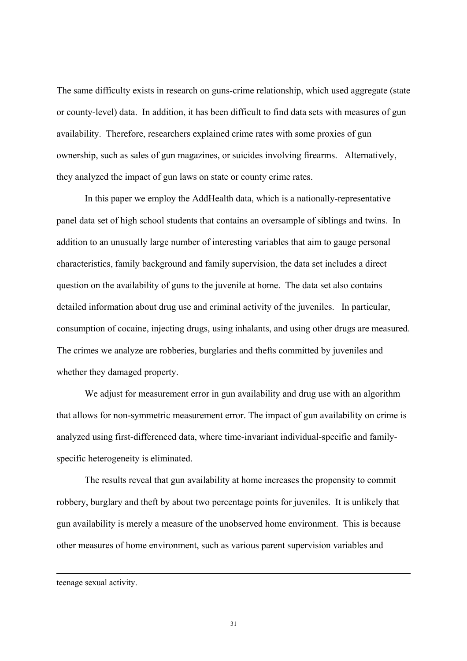The same difficulty exists in research on guns-crime relationship, which used aggregate (state or county-level) data. In addition, it has been difficult to find data sets with measures of gun availability. Therefore, researchers explained crime rates with some proxies of gun ownership, such as sales of gun magazines, or suicides involving firearms. Alternatively, they analyzed the impact of gun laws on state or county crime rates.

In this paper we employ the AddHealth data, which is a nationally-representative panel data set of high school students that contains an oversample of siblings and twins. In addition to an unusually large number of interesting variables that aim to gauge personal characteristics, family background and family supervision, the data set includes a direct question on the availability of guns to the juvenile at home. The data set also contains detailed information about drug use and criminal activity of the juveniles. In particular, consumption of cocaine, injecting drugs, using inhalants, and using other drugs are measured. The crimes we analyze are robberies, burglaries and thefts committed by juveniles and whether they damaged property.

We adjust for measurement error in gun availability and drug use with an algorithm that allows for non-symmetric measurement error. The impact of gun availability on crime is analyzed using first-differenced data, where time-invariant individual-specific and familyspecific heterogeneity is eliminated.

The results reveal that gun availability at home increases the propensity to commit robbery, burglary and theft by about two percentage points for juveniles. It is unlikely that gun availability is merely a measure of the unobserved home environment. This is because other measures of home environment, such as various parent supervision variables and

 $\overline{a}$ 

teenage sexual activity.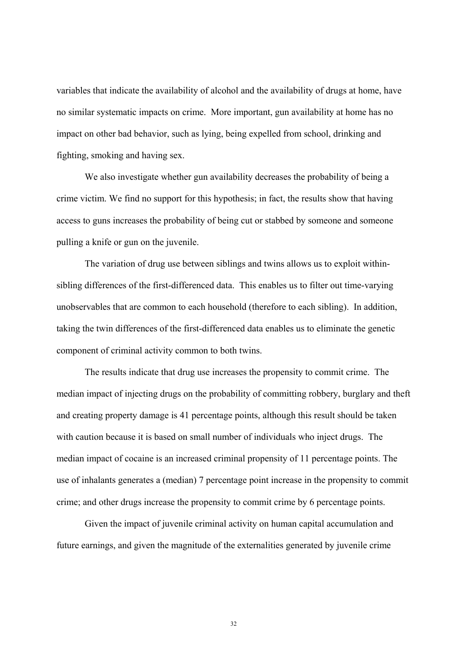variables that indicate the availability of alcohol and the availability of drugs at home, have no similar systematic impacts on crime. More important, gun availability at home has no impact on other bad behavior, such as lying, being expelled from school, drinking and fighting, smoking and having sex.

We also investigate whether gun availability decreases the probability of being a crime victim. We find no support for this hypothesis; in fact, the results show that having access to guns increases the probability of being cut or stabbed by someone and someone pulling a knife or gun on the juvenile.

The variation of drug use between siblings and twins allows us to exploit withinsibling differences of the first-differenced data. This enables us to filter out time-varying unobservables that are common to each household (therefore to each sibling). In addition, taking the twin differences of the first-differenced data enables us to eliminate the genetic component of criminal activity common to both twins.

The results indicate that drug use increases the propensity to commit crime. The median impact of injecting drugs on the probability of committing robbery, burglary and theft and creating property damage is 41 percentage points, although this result should be taken with caution because it is based on small number of individuals who inject drugs. The median impact of cocaine is an increased criminal propensity of 11 percentage points. The use of inhalants generates a (median) 7 percentage point increase in the propensity to commit crime; and other drugs increase the propensity to commit crime by 6 percentage points.

Given the impact of juvenile criminal activity on human capital accumulation and future earnings, and given the magnitude of the externalities generated by juvenile crime

32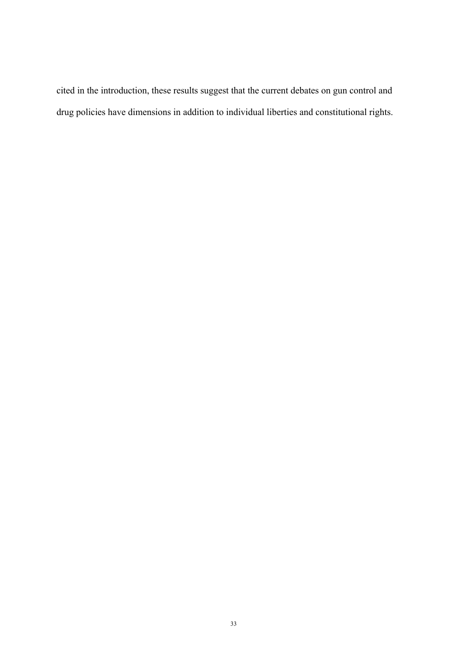cited in the introduction, these results suggest that the current debates on gun control and drug policies have dimensions in addition to individual liberties and constitutional rights.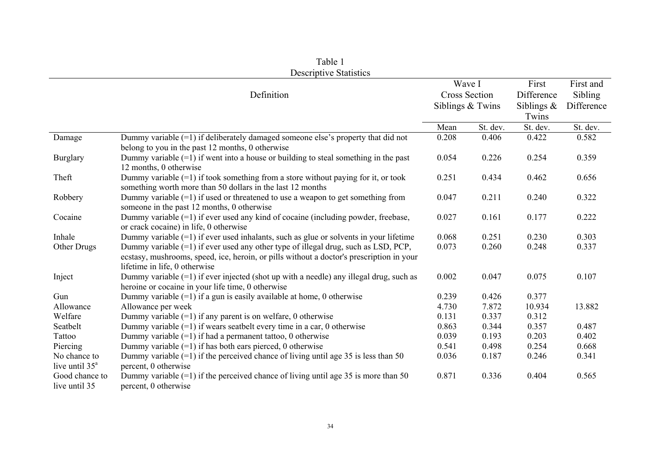|                                         |                                                                                                                                                                                                                 | Wave I               |          | First         | First and  |
|-----------------------------------------|-----------------------------------------------------------------------------------------------------------------------------------------------------------------------------------------------------------------|----------------------|----------|---------------|------------|
|                                         | Definition                                                                                                                                                                                                      | <b>Cross Section</b> |          | Difference    | Sibling    |
|                                         |                                                                                                                                                                                                                 | Siblings & Twins     |          | Siblings $\&$ | Difference |
|                                         |                                                                                                                                                                                                                 |                      |          | Twins         |            |
|                                         |                                                                                                                                                                                                                 | Mean                 | St. dev. | St. dev.      | St. dev.   |
| Damage                                  | Dummy variable $(=1)$ if deliberately damaged someone else's property that did not<br>belong to you in the past 12 months, 0 otherwise                                                                          | 0.208                | 0.406    | 0.422         | 0.582      |
| <b>Burglary</b>                         | Dummy variable $(=1)$ if went into a house or building to steal something in the past<br>12 months, 0 otherwise                                                                                                 | 0.054                | 0.226    | 0.254         | 0.359      |
| Theft                                   | Dummy variable $(=1)$ if took something from a store without paying for it, or took<br>something worth more than 50 dollars in the last 12 months                                                               | 0.251                | 0.434    | 0.462         | 0.656      |
| Robbery                                 | Dummy variable $(=1)$ if used or threatened to use a weapon to get something from<br>someone in the past 12 months, 0 otherwise                                                                                 | 0.047                | 0.211    | 0.240         | 0.322      |
| Cocaine                                 | Dummy variable (=1) if ever used any kind of cocaine (including powder, freebase,<br>or crack cocaine) in life, 0 otherwise                                                                                     | 0.027                | 0.161    | 0.177         | 0.222      |
| Inhale                                  | Dummy variable $(=1)$ if ever used inhalants, such as glue or solvents in your lifetime                                                                                                                         | 0.068                | 0.251    | 0.230         | 0.303      |
| Other Drugs                             | Dummy variable (=1) if ever used any other type of illegal drug, such as LSD, PCP,<br>ecstasy, mushrooms, speed, ice, heroin, or pills without a doctor's prescription in your<br>lifetime in life, 0 otherwise | 0.073                | 0.260    | 0.248         | 0.337      |
| Inject                                  | Dummy variable $(=1)$ if ever injected (shot up with a needle) any illegal drug, such as<br>heroine or cocaine in your life time, 0 otherwise                                                                   | 0.002                | 0.047    | 0.075         | 0.107      |
| Gun                                     | Dummy variable $(=1)$ if a gun is easily available at home, 0 otherwise                                                                                                                                         | 0.239                | 0.426    | 0.377         |            |
| Allowance                               | Allowance per week                                                                                                                                                                                              | 4.730                | 7.872    | 10.934        | 13.882     |
| Welfare                                 | Dummy variable $(=1)$ if any parent is on welfare, 0 otherwise                                                                                                                                                  | 0.131                | 0.337    | 0.312         |            |
| Seatbelt                                | Dummy variable $(=1)$ if wears seatbelt every time in a car, 0 otherwise                                                                                                                                        | 0.863                | 0.344    | 0.357         | 0.487      |
| Tattoo                                  | Dummy variable $(=1)$ if had a permanent tattoo, 0 otherwise                                                                                                                                                    | 0.039                | 0.193    | 0.203         | 0.402      |
| Piercing                                | Dummy variable $(=1)$ if has both ears pierced, 0 otherwise                                                                                                                                                     | 0.541                | 0.498    | 0.254         | 0.668      |
| No chance to<br>live until $35^{\circ}$ | Dummy variable $(=1)$ if the perceived chance of living until age 35 is less than 50<br>percent, 0 otherwise                                                                                                    | 0.036                | 0.187    | 0.246         | 0.341      |
| Good chance to<br>live until 35         | Dummy variable $(=1)$ if the perceived chance of living until age 35 is more than 50<br>percent, 0 otherwise                                                                                                    | 0.871                | 0.336    | 0.404         | 0.565      |

Table 1 Descriptive Statistics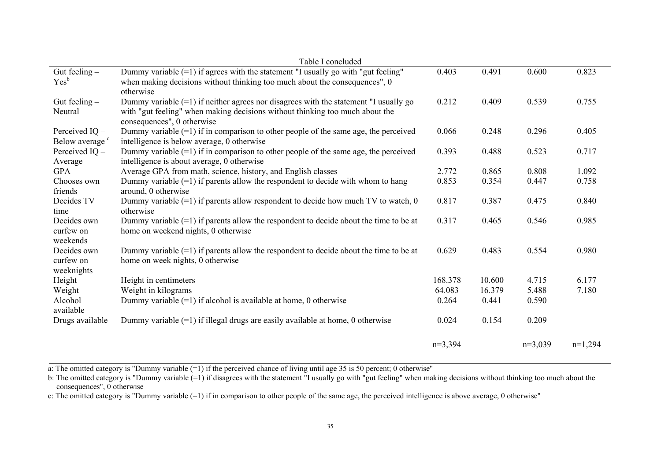|                            | Table I concluded                                                                       |           |        |           |           |
|----------------------------|-----------------------------------------------------------------------------------------|-----------|--------|-----------|-----------|
| Gut feeling $-$            | Dummy variable $(=1)$ if agrees with the statement "I usually go with "gut feeling"     | 0.403     | 0.491  | 0.600     | 0.823     |
| Yes <sup>b</sup>           | when making decisions without thinking too much about the consequences", 0              |           |        |           |           |
|                            | otherwise                                                                               |           |        |           |           |
| Gut feeling $-$            | Dummy variable $(=1)$ if neither agrees nor disagrees with the statement "I usually go  | 0.212     | 0.409  | 0.539     | 0.755     |
| Neutral                    | with "gut feeling" when making decisions without thinking too much about the            |           |        |           |           |
|                            | consequences", 0 otherwise                                                              |           |        |           |           |
| Perceived $IO$ –           | Dummy variable $(=1)$ if in comparison to other people of the same age, the perceived   | 0.066     | 0.248  | 0.296     | 0.405     |
| Below average <sup>c</sup> | intelligence is below average, 0 otherwise                                              |           |        |           |           |
| Perceived $IQ -$           | Dummy variable $(=1)$ if in comparison to other people of the same age, the perceived   | 0.393     | 0.488  | 0.523     | 0.717     |
| Average                    | intelligence is about average, 0 otherwise                                              |           |        |           |           |
| <b>GPA</b>                 | Average GPA from math, science, history, and English classes                            | 2.772     | 0.865  | 0.808     | 1.092     |
| Chooses own                | Dummy variable $(=1)$ if parents allow the respondent to decide with whom to hang       | 0.853     | 0.354  | 0.447     | 0.758     |
| friends                    | around, 0 otherwise                                                                     |           |        |           |           |
| Decides TV                 | Dummy variable $(=1)$ if parents allow respondent to decide how much TV to watch, 0     | 0.817     | 0.387  | 0.475     | 0.840     |
| time                       | otherwise                                                                               |           |        |           |           |
| Decides own                | Dummy variable $(=1)$ if parents allow the respondent to decide about the time to be at | 0.317     | 0.465  | 0.546     | 0.985     |
| curfew on                  | home on weekend nights, 0 otherwise                                                     |           |        |           |           |
| weekends                   |                                                                                         |           |        |           |           |
| Decides own                | Dummy variable $(=1)$ if parents allow the respondent to decide about the time to be at | 0.629     | 0.483  | 0.554     | 0.980     |
| curfew on                  | home on week nights, 0 otherwise                                                        |           |        |           |           |
| weeknights                 |                                                                                         |           |        |           |           |
| Height                     | Height in centimeters                                                                   | 168.378   | 10.600 | 4.715     | 6.177     |
| Weight                     | Weight in kilograms                                                                     | 64.083    | 16.379 | 5.488     | 7.180     |
| Alcohol                    | Dummy variable $(=1)$ if alcohol is available at home, 0 otherwise                      | 0.264     | 0.441  | 0.590     |           |
| available                  |                                                                                         |           |        |           |           |
| Drugs available            | Dummy variable $(=1)$ if illegal drugs are easily available at home, 0 otherwise        | 0.024     | 0.154  | 0.209     |           |
|                            |                                                                                         |           |        |           |           |
|                            |                                                                                         | $n=3,394$ |        | $n=3,039$ | $n=1,294$ |

a: The omitted category is "Dummy variable  $(=1)$  if the perceived chance of living until age 35 is 50 percent; 0 otherwise"

b: The omitted category is "Dummy variable  $(=1)$  if disagrees with the statement "I usually go with "gut feeling" when making decisions without thinking too much about the consequences", 0 otherwise

c: The omitted category is "Dummy variable (=1) if in comparison to other people of the same age, the perceived intelligence is above average, 0 otherwise"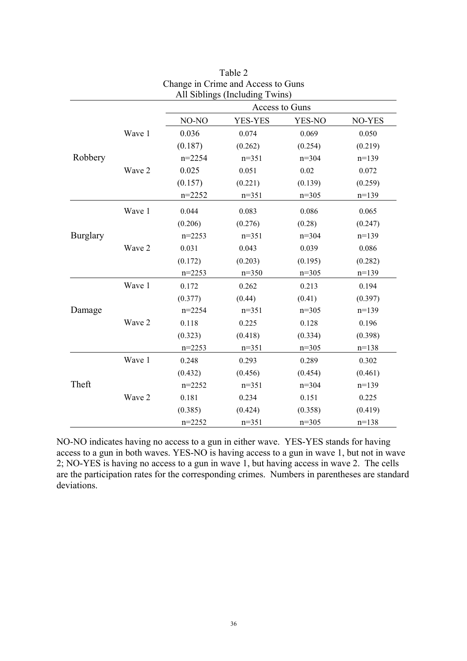|                 |        |            | All Siblings (Including Twins) |         |         |
|-----------------|--------|------------|--------------------------------|---------|---------|
|                 |        |            | Access to Guns                 |         |         |
|                 |        | NO-NO      | YES-YES                        | YES-NO  | NO-YES  |
|                 | Wave 1 | 0.036      | 0.074                          | 0.069   | 0.050   |
|                 |        | (0.187)    | (0.262)                        | (0.254) | (0.219) |
| Robbery         |        | $n = 2254$ | $n=351$                        | $n=304$ | $n=139$ |
|                 | Wave 2 | 0.025      | 0.051                          | 0.02    | 0.072   |
|                 |        | (0.157)    | (0.221)                        | (0.139) | (0.259) |
|                 |        | $n = 2252$ | $n=351$                        | $n=305$ | $n=139$ |
|                 | Wave 1 | 0.044      | 0.083                          | 0.086   | 0.065   |
|                 |        | (0.206)    | (0.276)                        | (0.28)  | (0.247) |
| <b>Burglary</b> |        | $n=2253$   | $n=351$                        | $n=304$ | $n=139$ |
|                 | Wave 2 | 0.031      | 0.043                          | 0.039   | 0.086   |
|                 |        | (0.172)    | (0.203)                        | (0.195) | (0.282) |
|                 |        | $n = 2253$ | $n=350$                        | $n=305$ | $n=139$ |
|                 | Wave 1 | 0.172      | 0.262                          | 0.213   | 0.194   |
|                 |        | (0.377)    | (0.44)                         | (0.41)  | (0.397) |
| Damage          |        | $n = 2254$ | $n=351$                        | $n=305$ | $n=139$ |
|                 | Wave 2 | 0.118      | 0.225                          | 0.128   | 0.196   |
|                 |        | (0.323)    | (0.418)                        | (0.334) | (0.398) |
|                 |        | $n = 2253$ | $n=351$                        | $n=305$ | $n=138$ |
|                 | Wave 1 | 0.248      | 0.293                          | 0.289   | 0.302   |
|                 |        | (0.432)    | (0.456)                        | (0.454) | (0.461) |
| Theft           |        | $n=2252$   | $n=351$                        | $n=304$ | $n=139$ |
|                 | Wave 2 | 0.181      | 0.234                          | 0.151   | 0.225   |
|                 |        | (0.385)    | (0.424)                        | (0.358) | (0.419) |
|                 |        | $n=2252$   | $n=351$                        | $n=305$ | $n=138$ |

Table 2 Change in Crime and Access to Guns

NO-NO indicates having no access to a gun in either wave. YES-YES stands for having access to a gun in both waves. YES-NO is having access to a gun in wave 1, but not in wave 2; NO-YES is having no access to a gun in wave 1, but having access in wave 2. The cells are the participation rates for the corresponding crimes. Numbers in parentheses are standard deviations.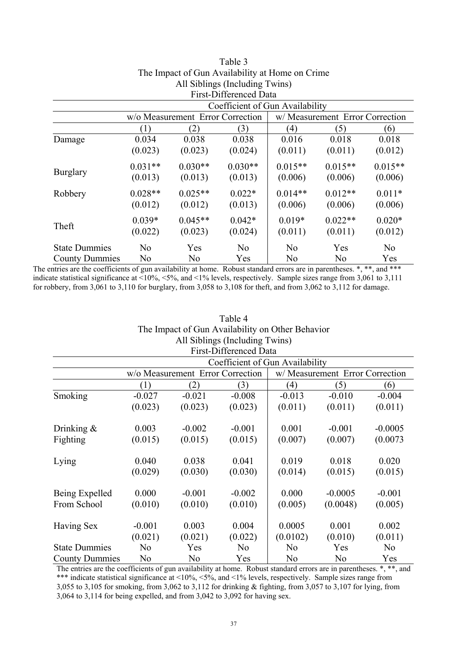| The impact of San Fromaonity at Home on Crime                                                               |                                |                                  |                |                |                                 |                |  |  |  |
|-------------------------------------------------------------------------------------------------------------|--------------------------------|----------------------------------|----------------|----------------|---------------------------------|----------------|--|--|--|
|                                                                                                             | All Siblings (Including Twins) |                                  |                |                |                                 |                |  |  |  |
| First-Differenced Data                                                                                      |                                |                                  |                |                |                                 |                |  |  |  |
| Coefficient of Gun Availability                                                                             |                                |                                  |                |                |                                 |                |  |  |  |
|                                                                                                             |                                | w/o Measurement Error Correction |                |                | w/ Measurement Error Correction |                |  |  |  |
|                                                                                                             | $\left(1\right)$               | (2)                              | (3)            | (4)            | (5)                             | (6)            |  |  |  |
| Damage                                                                                                      | 0.034                          | 0.038                            | 0.038          | 0.016          | 0.018                           | 0.018          |  |  |  |
|                                                                                                             | (0.023)                        | (0.023)                          | (0.024)        | (0.011)        | (0.011)                         | (0.012)        |  |  |  |
|                                                                                                             | $0.031**$                      | $0.030**$                        | $0.030**$      | $0.015**$      | $0.015**$                       | $0.015**$      |  |  |  |
| <b>Burglary</b>                                                                                             | (0.013)                        | (0.013)                          | (0.013)        | (0.006)        | (0.006)                         | (0.006)        |  |  |  |
| Robbery                                                                                                     | $0.028**$                      | $0.025**$                        | $0.022*$       | $0.014**$      | $0.012**$                       | $0.011*$       |  |  |  |
|                                                                                                             | (0.012)                        | (0.012)                          | (0.013)        | (0.006)        | (0.006)                         | (0.006)        |  |  |  |
|                                                                                                             | $0.039*$                       | $0.045**$                        | $0.042*$       | $0.019*$       | $0.022**$                       | $0.020*$       |  |  |  |
| Theft                                                                                                       | (0.022)                        | (0.023)                          | (0.024)        | (0.011)        | (0.011)                         | (0.012)        |  |  |  |
| <b>State Dummies</b>                                                                                        | N <sub>0</sub>                 | Yes                              | N <sub>o</sub> | N <sub>0</sub> | Yes                             | N <sub>o</sub> |  |  |  |
| <b>County Dummies</b><br>N <sub>0</sub><br>N <sub>0</sub><br>N <sub>0</sub><br>Yes<br>N <sub>0</sub><br>Yes |                                |                                  |                |                |                                 |                |  |  |  |

Table 3 The Impact of Gun Availability at Home on Crime

The entries are the coefficients of gun availability at home. Robust standard errors are in parentheses. \*, \*\*, and \*\*\* indicate statistical significance at <10%, <5%, and <1% levels, respectively. Sample sizes range from 3,061 to 3,111 for robbery, from 3,061 to 3,110 for burglary, from 3,058 to 3,108 for theft, and from 3,062 to 3,112 for damage.

| Table 4                                          |                                |                                  |                |                |                                 |                |  |  |  |  |
|--------------------------------------------------|--------------------------------|----------------------------------|----------------|----------------|---------------------------------|----------------|--|--|--|--|
| The Impact of Gun Availability on Other Behavior |                                |                                  |                |                |                                 |                |  |  |  |  |
|                                                  | All Siblings (Including Twins) |                                  |                |                |                                 |                |  |  |  |  |
| <b>First-Differenced Data</b>                    |                                |                                  |                |                |                                 |                |  |  |  |  |
| Coefficient of Gun Availability                  |                                |                                  |                |                |                                 |                |  |  |  |  |
|                                                  |                                | w/o Measurement Error Correction |                |                | w/ Measurement Error Correction |                |  |  |  |  |
|                                                  | (1)                            | (2)                              | (3)            | (4)            | (5)                             | (6)            |  |  |  |  |
| Smoking                                          | $-0.027$                       | $-0.021$                         | $-0.008$       | $-0.013$       | $-0.010$                        | $-0.004$       |  |  |  |  |
|                                                  | (0.023)                        | (0.023)                          | (0.023)        | (0.011)        | (0.011)                         | (0.011)        |  |  |  |  |
| Drinking $\&$                                    | 0.003                          | $-0.002$                         | $-0.001$       | 0.001          | $-0.001$                        | $-0.0005$      |  |  |  |  |
| Fighting                                         | (0.015)                        | (0.015)                          | (0.015)        | (0.007)        | (0.007)                         | (0.0073)       |  |  |  |  |
| Lying                                            | 0.040                          | 0.038                            | 0.041          | 0.019          | 0.018                           | 0.020          |  |  |  |  |
|                                                  | (0.029)                        | (0.030)                          | (0.030)        | (0.014)        | (0.015)                         | (0.015)        |  |  |  |  |
| Being Expelled                                   | 0.000                          | $-0.001$                         | $-0.002$       | 0.000          | $-0.0005$                       | $-0.001$       |  |  |  |  |
| From School                                      | (0.010)                        | (0.010)                          | (0.010)        | (0.005)        | (0.0048)                        | (0.005)        |  |  |  |  |
| <b>Having Sex</b>                                | $-0.001$                       | 0.003                            | 0.004          | 0.0005         | 0.001                           | 0.002          |  |  |  |  |
|                                                  | (0.021)                        | (0.021)                          | (0.022)        | (0.0102)       | (0.010)                         | (0.011)        |  |  |  |  |
| <b>State Dummies</b>                             | N <sub>o</sub>                 | Yes                              | N <sub>o</sub> | N <sub>0</sub> | Yes                             | N <sub>0</sub> |  |  |  |  |
| <b>County Dummies</b>                            | N <sub>0</sub>                 | No                               | Yes            | N <sub>0</sub> | N <sub>0</sub>                  | Yes            |  |  |  |  |

The entries are the coefficients of gun availability at home. Robust standard errors are in parentheses. \*, \*\*, and \*\*\* indicate statistical significance at <10%, <5%, and <1% levels, respectively. Sample sizes range from 3,055 to 3,105 for smoking, from 3,062 to 3,112 for drinking & fighting, from 3,057 to 3,107 for lying, from 3,064 to 3,114 for being expelled, and from 3,042 to 3,092 for having sex.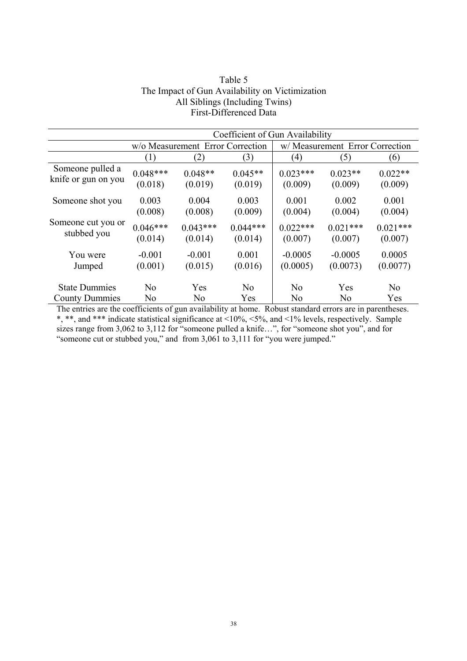|                       | Coefficient of Gun Availability |                                  |                |                |                                 |                |  |
|-----------------------|---------------------------------|----------------------------------|----------------|----------------|---------------------------------|----------------|--|
|                       |                                 | w/o Measurement Error Correction |                |                | w/ Measurement Error Correction |                |  |
|                       | (1)                             | (2)                              | (3)            | (4)            | (5)                             | (6)            |  |
| Someone pulled a      | $0.048***$                      | $0.048**$                        | $0.045**$      | $0.023***$     | $0.023**$                       | $0.022**$      |  |
| knife or gun on you   | (0.018)                         | (0.019)                          | (0.019)        | (0.009)        | (0.009)                         | (0.009)        |  |
| Someone shot you      | 0.003                           | 0.004                            | 0.003          | 0.001          | 0.002                           | 0.001          |  |
|                       | (0.008)                         | (0.008)                          | (0.009)        | (0.004)        | (0.004)                         | (0.004)        |  |
| Someone cut you or    | $0.046***$                      | $0.043***$                       | $0.044***$     | $0.022***$     | $0.021***$                      | $0.021***$     |  |
| stubbed you           | (0.014)                         | (0.014)                          | (0.014)        | (0.007)        | (0.007)                         | (0.007)        |  |
| You were              | $-0.001$                        | $-0.001$                         | 0.001          | $-0.0005$      | $-0.0005$                       | 0.0005         |  |
| Jumped                | (0.001)                         | (0.015)                          | (0.016)        | (0.0005)       | (0.0073)                        | (0.0077)       |  |
| <b>State Dummies</b>  | N <sub>0</sub>                  | Yes                              | N <sub>0</sub> | N <sub>0</sub> | Yes                             | N <sub>0</sub> |  |
| <b>County Dummies</b> | N <sub>0</sub>                  | N <sub>0</sub>                   | Yes            | N <sub>0</sub> | N <sub>0</sub>                  | Yes            |  |

# Table 5 The Impact of Gun Availability on Victimization All Siblings (Including Twins) First-Differenced Data

The entries are the coefficients of gun availability at home. Robust standard errors are in parentheses. \*, \*\*, and \*\*\* indicate statistical significance at <10%, <5%, and <1% levels, respectively. Sample sizes range from 3,062 to 3,112 for "someone pulled a knife...", for "someone shot you", and for "someone cut or stubbed you," and from 3,061 to 3,111 for "you were jumped."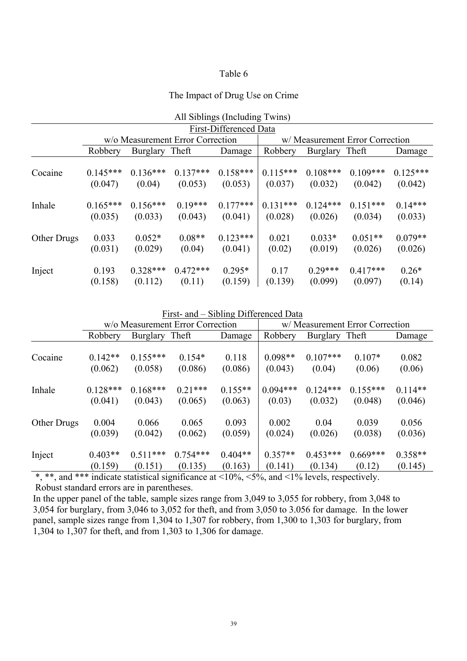# Table 6

# The Impact of Drug Use on Crime

| All Siblings (Including Twins) |            |                                  |            |            |            |            |                                 |            |  |  |
|--------------------------------|------------|----------------------------------|------------|------------|------------|------------|---------------------------------|------------|--|--|
| First-Differenced Data         |            |                                  |            |            |            |            |                                 |            |  |  |
|                                |            | w/o Measurement Error Correction |            |            |            |            | w/ Measurement Error Correction |            |  |  |
|                                | Robbery    | <b>Burglary</b>                  | Theft      | Damage     | Robbery    | Burglary   | Theft                           | Damage     |  |  |
| Cocaine                        | $0.145***$ | $0.136***$                       | $0.137***$ | $0.158***$ | $0.115***$ | $0.108***$ | $0.109***$                      | $0.125***$ |  |  |
|                                | (0.047)    | (0.04)                           | (0.053)    | (0.053)    | (0.037)    | (0.032)    | (0.042)                         | (0.042)    |  |  |
| Inhale                         | $0.165***$ | $0.156***$                       | $0.19***$  | $0.177***$ | $0.131***$ | $0.124***$ | $0.151***$                      | $0.14***$  |  |  |
|                                | (0.035)    | (0.033)                          | (0.043)    | (0.041)    | (0.028)    | (0.026)    | (0.034)                         | (0.033)    |  |  |
| Other Drugs                    | 0.033      | $0.052*$                         | $0.08**$   | $0.123***$ | 0.021      | $0.033*$   | $0.051**$                       | $0.079**$  |  |  |
|                                | (0.031)    | (0.029)                          | (0.04)     | (0.041)    | (0.02)     | (0.019)    | (0.026)                         | (0.026)    |  |  |
| Inject                         | 0.193      | $0.328***$                       | $0.472***$ | $0.295*$   | 0.17       | $0.29***$  | $0.417***$                      | $0.26*$    |  |  |
|                                | (0.158)    | (0.112)                          | (0.11)     | (0.159)    | (0.139)    | (0.099)    | (0.097)                         | (0.14)     |  |  |

|  | First- and – Sibling Differenced Data |
|--|---------------------------------------|
|  |                                       |

|             | w/o Measurement Error Correction |                 |            |           | w/ Measurement Error Correction |                |            |           |
|-------------|----------------------------------|-----------------|------------|-----------|---------------------------------|----------------|------------|-----------|
|             | Robbery                          | <b>Burglary</b> | Theft      | Damage    | Robbery                         | Burglary Theft |            | Damage    |
| Cocaine     | $0.142**$                        | $0.155***$      | $0.154*$   | 0.118     | $0.098**$                       | $0.107***$     | $0.107*$   | 0.082     |
|             | (0.062)                          | (0.058)         | (0.086)    | (0.086)   | (0.043)                         | (0.04)         | (0.06)     | (0.06)    |
| Inhale      | $0.128***$                       | $0.168***$      | $0.21***$  | $0.155**$ | $0.094***$                      | $0.124***$     | $0.155***$ | $0.114**$ |
|             | (0.041)                          | (0.043)         | (0.065)    | (0.063)   | (0.03)                          | (0.032)        | (0.048)    | (0.046)   |
| Other Drugs | 0.004                            | 0.066           | 0.065      | 0.093     | 0.002                           | 0.04           | 0.039      | 0.056     |
|             | (0.039)                          | (0.042)         | (0.062)    | (0.059)   | (0.024)                         | (0.026)        | (0.038)    | (0.036)   |
| Inject      | $0.403**$                        | $0.511***$      | $0.754***$ | $0.404**$ | $0.357**$                       | $0.453***$     | $0.669***$ | $0.358**$ |
|             | (0.159)                          | (0.151)         | (0.135)    | (0.163)   | (0.141)                         | (0.134)        | (0.12)     | (0.145)   |

\*, \*\*, and \*\*\* indicate statistical significance at <10%, <5%, and <1% levels, respectively. Robust standard errors are in parentheses.

In the upper panel of the table, sample sizes range from 3,049 to 3,055 for robbery, from 3,048 to 3,054 for burglary, from 3,046 to 3,052 for theft, and from 3,050 to 3.056 for damage. In the lower panel, sample sizes range from 1,304 to 1,307 for robbery, from 1,300 to 1,303 for burglary, from 1,304 to 1,307 for theft, and from 1,303 to 1,306 for damage.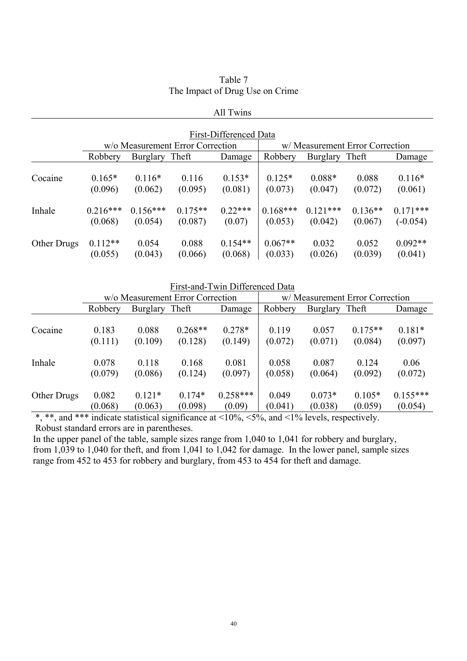| Table 7                         |
|---------------------------------|
| The Impact of Drug Use on Crime |

|             |                       |                                  |                      | All Twins              |                       |                       |                                 |                          |
|-------------|-----------------------|----------------------------------|----------------------|------------------------|-----------------------|-----------------------|---------------------------------|--------------------------|
|             |                       |                                  |                      | First-Differenced Data |                       |                       |                                 |                          |
|             |                       | w/o Measurement Error Correction |                      |                        |                       |                       | w/ Measurement Error Correction |                          |
|             | Robbery               | Burglary Theft                   |                      | Damage                 | Robbery               | Burglary Theft        |                                 | Damage                   |
| Cocaine     | $0.165*$<br>(0.096)   | $0.116*$<br>(0.062)              | 0.116<br>(0.095)     | $0.153*$<br>(0.081)    | $0.125*$<br>(0.073)   | $0.088*$<br>(0.047)   | 0.088<br>(0.072)                | $0.116*$<br>(0.061)      |
| Inhale      | $0.216***$<br>(0.068) | $0.156***$<br>(0.054)            | $0.175**$<br>(0.087) | $0.22***$<br>(0.07)    | $0.168***$<br>(0.053) | $0.121***$<br>(0.042) | $0.136**$<br>(0.067)            | $0.171***$<br>$(-0.054)$ |
| Other Drugs | $0.112**$<br>(0.055)  | 0.054<br>(0.043)                 | 0.088<br>(0.066)     | $0.154**$<br>(0.068)   | $0.067**$<br>(0.033)  | 0.032<br>(0.026)      | 0.052<br>(0.039)                | $0.092**$<br>(0.041)     |

|                    |                                  |                 |           | First-and-Twin Differenced Data |                                 |                 |           |            |
|--------------------|----------------------------------|-----------------|-----------|---------------------------------|---------------------------------|-----------------|-----------|------------|
|                    | w/o Measurement Error Correction |                 |           |                                 | w/ Measurement Error Correction |                 |           |            |
|                    | Robbery                          | <b>Burglary</b> | Theft     | Damage                          | Robbery                         | <b>Burglary</b> | Theft     | Damage     |
| Cocaine            | 0.183                            | 0.088           | $0.268**$ | $0.278*$                        | 0.119                           | 0.057           | $0.175**$ | $0.181*$   |
|                    | (0.111)                          | (0.109)         | (0.128)   | (0.149)                         | (0.072)                         | (0.071)         | (0.084)   | (0.097)    |
| Inhale             | 0.078                            | 0.118           | 0.168     | 0.081                           | 0.058                           | 0.087           | 0.124     | 0.06       |
|                    | (0.079)                          | (0.086)         | (0.124)   | (0.097)                         | (0.058)                         | (0.064)         | (0.092)   | (0.072)    |
| <b>Other Drugs</b> | 0.082                            | $0.121*$        | $0.174*$  | $0.258***$                      | 0.049                           | $0.073*$        | $0.105*$  | $0.155***$ |
|                    | (0.068)                          | (0.063)         | (0.098)   | (0.09)                          | (0.041)                         | (0.038)         | (0.059)   | (0.054)    |

\*, \*\*, and \*\*\* indicate statistical significance at <10%, <5%, and <1% levels, respectively. Robust standard errors are in parentheses.

In the upper panel of the table, sample sizes range from 1,040 to 1,041 for robbery and burglary, from 1,039 to 1,040 for theft, and from 1,041 to 1,042 for damage. In the lower panel, sample sizes range from 452 to 453 for robbery and burglary, from 453 to 454 for theft and damage.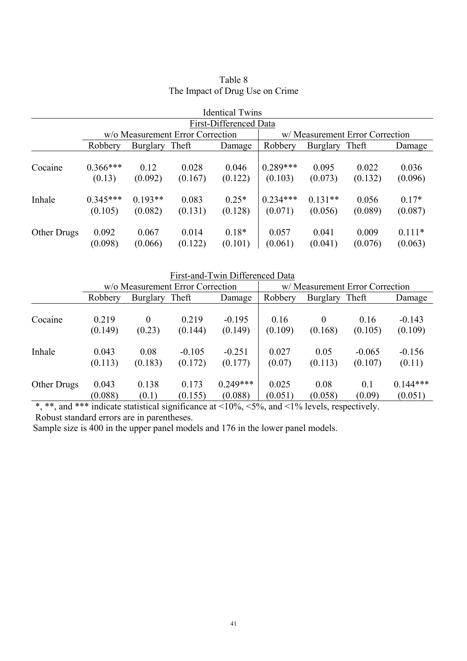| <b>Identical Twins</b> |                                  |                      |                  |                    |                                 |                      |                  |                     |
|------------------------|----------------------------------|----------------------|------------------|--------------------|---------------------------------|----------------------|------------------|---------------------|
| First-Differenced Data |                                  |                      |                  |                    |                                 |                      |                  |                     |
|                        | w/o Measurement Error Correction |                      |                  |                    | w/ Measurement Error Correction |                      |                  |                     |
|                        | Robbery                          | Burglary             | Theft            | Damage             | Robbery                         | Burglary Theft       |                  | Damage              |
| Cocaine                | $0.366***$<br>(0.13)             | 0.12<br>(0.092)      | 0.028<br>(0.167) | 0.046<br>(0.122)   | $0.289***$<br>(0.103)           | 0.095<br>(0.073)     | 0.022<br>(0.132) | 0.036<br>(0.096)    |
| Inhale                 | $0.345***$<br>(0.105)            | $0.193**$<br>(0.082) | 0.083<br>(0.131) | $0.25*$<br>(0.128) | $0.234***$<br>(0.071)           | $0.131**$<br>(0.056) | 0.056<br>(0.089) | $0.17*$<br>(0.087)  |
| Other Drugs            | 0.092<br>(0.098)                 | 0.067<br>(0.066)     | 0.014<br>(0.122) | $0.18*$<br>(0.101) | 0.057<br>(0.061)                | 0.041<br>(0.041)     | 0.009<br>(0.076) | $0.111*$<br>(0.063) |

# Table 8 The Impact of Drug Use on Crime

First-and-Twin Differenced Data w/o Measurement Error Correction W/Measurement Error Correction Robbery Burglary Theft Damage Robbery Burglary Theft Damage Cocaine 0.219 (0.149) 0 (0.23) 0.219 (0.144) -0.195 (0.149) 0.16 (0.109) 0 (0.168) 0.16  $(0.105)$ -0.143 (0.109) Inhale 0.043 (0.113) 0.08 (0.183) -0.105 (0.172) -0.251 (0.177) 0.027 (0.07) 0.05 (0.113) -0.065 (0.107) -0.156 (0.11) Other Drugs 0.043 (0.088) 0.138 (0.1) 0.173 (0.155) 0.249\*\*\* (0.088) 0.025 (0.051) 0.08 (0.058) 0.1 (0.09) 0.144\*\*\* (0.051)

 $\overbrace{a^*,}_{s^*,s}$  and  $\overbrace{a^*,}_{s^*,s}$  indicate statistical significance at  $\langle 10\%, \langle 5\%, \rangle$  and  $\langle 1\% \rangle$  levels, respectively. Robust standard errors are in parentheses.

Sample size is 400 in the upper panel models and 176 in the lower panel models.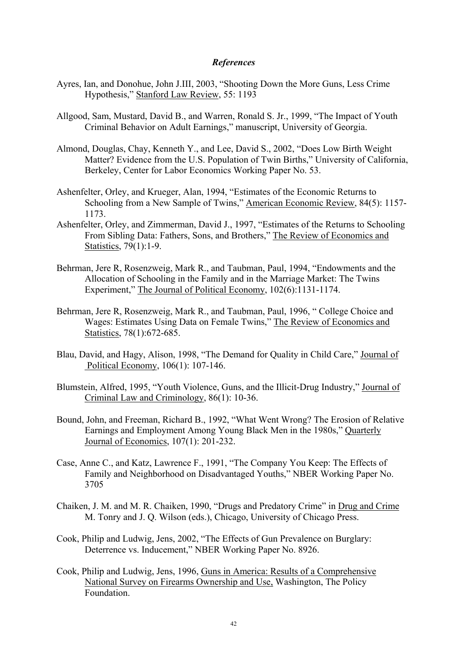# *References*

- Ayres, Ian, and Donohue, John J.III, 2003, "Shooting Down the More Guns, Less Crime Hypothesis," Stanford Law Review, 55: 1193
- Allgood, Sam, Mustard, David B., and Warren, Ronald S. Jr., 1999, "The Impact of Youth Criminal Behavior on Adult Earnings," manuscript, University of Georgia.
- Almond, Douglas, Chay, Kenneth Y., and Lee, David S., 2002, "Does Low Birth Weight Matter? Evidence from the U.S. Population of Twin Births," University of California, Berkeley, Center for Labor Economics Working Paper No. 53.
- Ashenfelter, Orley, and Krueger, Alan, 1994, "Estimates of the Economic Returns to Schooling from a New Sample of Twins," American Economic Review, 84(5): 1157- 1173.
- Ashenfelter, Orley, and Zimmerman, David J., 1997, "Estimates of the Returns to Schooling From Sibling Data: Fathers, Sons, and Brothers," The Review of Economics and Statistics, 79(1):1-9.
- Behrman, Jere R, Rosenzweig, Mark R., and Taubman, Paul, 1994, "Endowments and the Allocation of Schooling in the Family and in the Marriage Market: The Twins Experiment," The Journal of Political Economy, 102(6):1131-1174.
- Behrman, Jere R, Rosenzweig, Mark R., and Taubman, Paul, 1996, " College Choice and Wages: Estimates Using Data on Female Twins," The Review of Economics and Statistics, 78(1):672-685.
- Blau, David, and Hagy, Alison, 1998, "The Demand for Quality in Child Care," Journal of Political Economy, 106(1): 107-146.
- Blumstein, Alfred, 1995, "Youth Violence, Guns, and the Illicit-Drug Industry," Journal of Criminal Law and Criminology, 86(1): 10-36.
- Bound, John, and Freeman, Richard B., 1992, "What Went Wrong? The Erosion of Relative Earnings and Employment Among Young Black Men in the 1980s," Quarterly Journal of Economics, 107(1): 201-232.
- Case, Anne C., and Katz, Lawrence F., 1991, "The Company You Keep: The Effects of Family and Neighborhood on Disadvantaged Youths," NBER Working Paper No. 3705
- Chaiken, J. M. and M. R. Chaiken, 1990, "Drugs and Predatory Crime" in Drug and Crime M. Tonry and J. Q. Wilson (eds.), Chicago, University of Chicago Press.
- Cook, Philip and Ludwig, Jens, 2002, "The Effects of Gun Prevalence on Burglary: Deterrence vs. Inducement," NBER Working Paper No. 8926.
- Cook, Philip and Ludwig, Jens, 1996, Guns in America: Results of a Comprehensive National Survey on Firearms Ownership and Use, Washington, The Policy Foundation.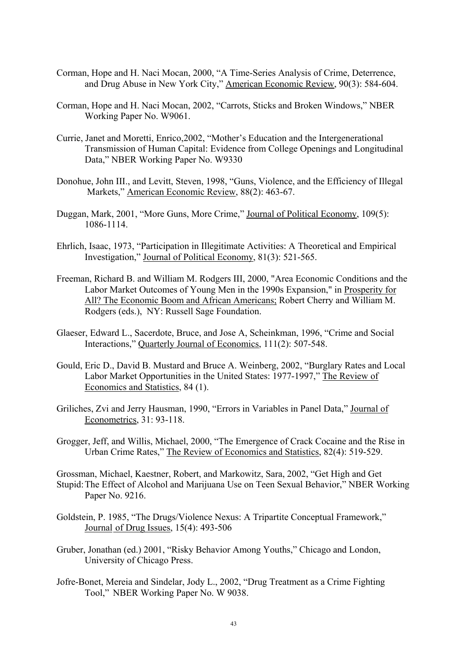- Corman, Hope and H. Naci Mocan, 2000, "A Time-Series Analysis of Crime, Deterrence, and Drug Abuse in New York City," American Economic Review, 90(3): 584-604.
- Corman, Hope and H. Naci Mocan, 2002, "Carrots, Sticks and Broken Windows," NBER Working Paper No. W9061.
- Currie, Janet and Moretti, Enrico,2002, "Mother's Education and the Intergenerational Transmission of Human Capital: Evidence from College Openings and Longitudinal Data," NBER Working Paper No. W9330
- Donohue, John III., and Levitt, Steven, 1998, "Guns, Violence, and the Efficiency of Illegal Markets," American Economic Review, 88(2): 463-67.
- Duggan, Mark, 2001, "More Guns, More Crime," Journal of Political Economy, 109(5): 1086-1114.
- Ehrlich, Isaac, 1973, "Participation in Illegitimate Activities: A Theoretical and Empirical Investigation," Journal of Political Economy, 81(3): 521-565.
- Freeman, Richard B. and William M. Rodgers III, 2000, "Area Economic Conditions and the Labor Market Outcomes of Young Men in the 1990s Expansion," in Prosperity for All? The Economic Boom and African Americans; Robert Cherry and William M. Rodgers (eds.), NY: Russell Sage Foundation.
- Glaeser, Edward L., Sacerdote, Bruce, and Jose A, Scheinkman, 1996, "Crime and Social Interactions," Quarterly Journal of Economics, 111(2): 507-548.
- Gould, Eric D., David B. Mustard and Bruce A. Weinberg, 2002, "Burglary Rates and Local Labor Market Opportunities in the United States: 1977-1997," The Review of Economics and Statistics, 84 (1).
- Griliches, Zvi and Jerry Hausman, 1990, "Errors in Variables in Panel Data," Journal of Econometrics, 31: 93-118.
- Grogger, Jeff, and Willis, Michael, 2000, "The Emergence of Crack Cocaine and the Rise in Urban Crime Rates," The Review of Economics and Statistics, 82(4): 519-529.

Grossman, Michael, Kaestner, Robert, and Markowitz, Sara, 2002, "Get High and Get Stupid: The Effect of Alcohol and Marijuana Use on Teen Sexual Behavior," NBER Working Paper No. 9216.

- Goldstein, P. 1985, "The Drugs/Violence Nexus: A Tripartite Conceptual Framework," Journal of Drug Issues, 15(4): 493-506
- Gruber, Jonathan (ed.) 2001, "Risky Behavior Among Youths," Chicago and London, University of Chicago Press.
- Jofre-Bonet, Mereia and Sindelar, Jody L., 2002, "Drug Treatment as a Crime Fighting Tool," NBER Working Paper No. W 9038.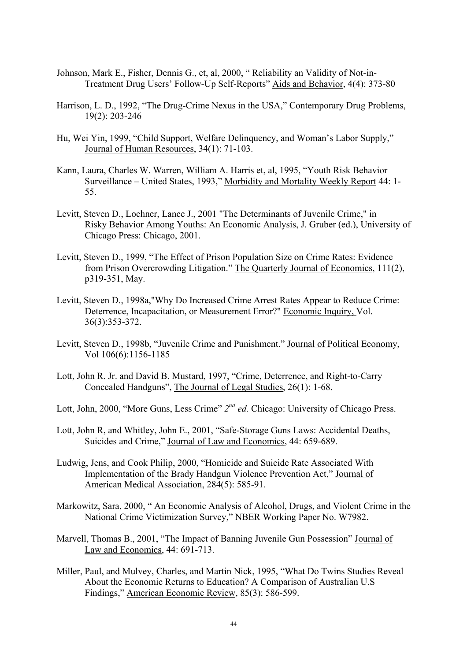- Johnson, Mark E., Fisher, Dennis G., et, al, 2000, " Reliability an Validity of Not-in-Treatment Drug Users' Follow-Up Self-Reports" Aids and Behavior, 4(4): 373-80
- Harrison, L. D., 1992, "The Drug-Crime Nexus in the USA," Contemporary Drug Problems, 19(2): 203-246
- Hu, Wei Yin, 1999, "Child Support, Welfare Delinquency, and Woman's Labor Supply," Journal of Human Resources, 34(1): 71-103.
- Kann, Laura, Charles W. Warren, William A. Harris et, al, 1995, "Youth Risk Behavior Surveillance – United States, 1993," Morbidity and Mortality Weekly Report 44: 1- 55.
- Levitt, Steven D., Lochner, Lance J., 2001 "The Determinants of Juvenile Crime," in Risky Behavior Among Youths: An Economic Analysis, J. Gruber (ed.), University of Chicago Press: Chicago, 2001.
- Levitt, Steven D., 1999, "The Effect of Prison Population Size on Crime Rates: Evidence from Prison Overcrowding Litigation." The Quarterly Journal of Economics, 111(2), p319-351, May.
- Levitt, Steven D., 1998a,"Why Do Increased Crime Arrest Rates Appear to Reduce Crime: Deterrence, Incapacitation, or Measurement Error?" Economic Inquiry, Vol. 36(3):353-372.
- Levitt, Steven D., 1998b, "Juvenile Crime and Punishment." Journal of Political Economy, Vol 106(6):1156-1185
- Lott, John R. Jr. and David B. Mustard, 1997, "Crime, Deterrence, and Right-to-Carry Concealed Handguns", The Journal of Legal Studies, 26(1): 1-68.
- Lott, John, 2000, "More Guns, Less Crime" *2nd ed.* Chicago: University of Chicago Press.
- Lott, John R, and Whitley, John E., 2001, "Safe-Storage Guns Laws: Accidental Deaths, Suicides and Crime," Journal of Law and Economics, 44: 659-689.
- Ludwig, Jens, and Cook Philip, 2000, "Homicide and Suicide Rate Associated With Implementation of the Brady Handgun Violence Prevention Act," Journal of American Medical Association, 284(5): 585-91.
- Markowitz, Sara, 2000, " An Economic Analysis of Alcohol, Drugs, and Violent Crime in the National Crime Victimization Survey," NBER Working Paper No. W7982.
- Marvell, Thomas B., 2001, "The Impact of Banning Juvenile Gun Possession" Journal of Law and Economics, 44: 691-713.
- Miller, Paul, and Mulvey, Charles, and Martin Nick, 1995, "What Do Twins Studies Reveal About the Economic Returns to Education? A Comparison of Australian U.S Findings," American Economic Review, 85(3): 586-599.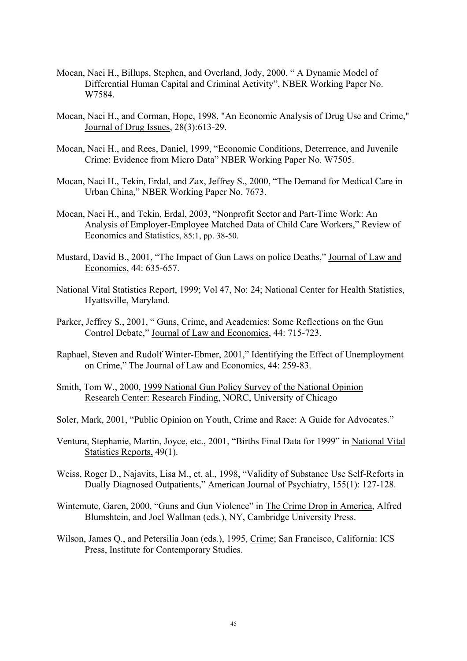- Mocan, Naci H., Billups, Stephen, and Overland, Jody, 2000, " A Dynamic Model of Differential Human Capital and Criminal Activity", NBER Working Paper No. W7584.
- Mocan, Naci H., and Corman, Hope, 1998, "An Economic Analysis of Drug Use and Crime," Journal of Drug Issues, 28(3):613-29.
- Mocan, Naci H., and Rees, Daniel, 1999, "Economic Conditions, Deterrence, and Juvenile Crime: Evidence from Micro Data" NBER Working Paper No. W7505.
- Mocan, Naci H., Tekin, Erdal, and Zax, Jeffrey S., 2000, "The Demand for Medical Care in Urban China," NBER Working Paper No. 7673.
- Mocan, Naci H., and Tekin, Erdal, 2003, "Nonprofit Sector and Part-Time Work: An Analysis of Employer-Employee Matched Data of Child Care Workers," Review of Economics and Statistics, 85:1, pp. 38-50.
- Mustard, David B., 2001, "The Impact of Gun Laws on police Deaths," Journal of Law and Economics, 44: 635-657.
- National Vital Statistics Report, 1999; Vol 47, No: 24; National Center for Health Statistics, Hyattsville, Maryland.
- Parker, Jeffrey S., 2001, " Guns, Crime, and Academics: Some Reflections on the Gun Control Debate," Journal of Law and Economics, 44: 715-723.
- Raphael, Steven and Rudolf Winter-Ebmer, 2001," Identifying the Effect of Unemployment on Crime," The Journal of Law and Economics, 44: 259-83.
- Smith, Tom W., 2000, 1999 National Gun Policy Survey of the National Opinion Research Center: Research Finding, NORC, University of Chicago
- Soler, Mark, 2001, "Public Opinion on Youth, Crime and Race: A Guide for Advocates."
- Ventura, Stephanie, Martin, Joyce, etc., 2001, "Births Final Data for 1999" in National Vital Statistics Reports, 49(1).
- Weiss, Roger D., Najavits, Lisa M., et. al., 1998, "Validity of Substance Use Self-Reforts in Dually Diagnosed Outpatients," American Journal of Psychiatry, 155(1): 127-128.
- Wintemute, Garen, 2000, "Guns and Gun Violence" in The Crime Drop in America, Alfred Blumshtein, and Joel Wallman (eds.), NY, Cambridge University Press.
- Wilson, James Q., and Petersilia Joan (eds.), 1995, Crime; San Francisco, California: ICS Press, Institute for Contemporary Studies.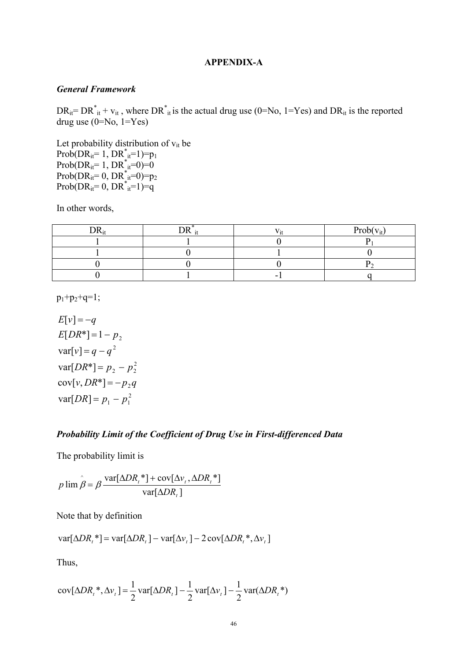### **APPENDIX-A**

#### *General Framework*

 $DR_{it} = DR_{it}^* + v_{it}$ , where  $DR_{it}^*$  is the actual drug use (0=No, 1=Yes) and  $DR_{it}$  is the reported drug use  $(0=N_0, 1=Y_{es})$ 

Let probability distribution of  $v_{it}$  be  $Prob(DR_{it} = 1, DR^*_{it} = 1) = p_1$  $Prob(DR_{it} = 1, DR^*_{it} = 0) = 0$  $Prob(DR_{it} = 0, DR^*_{it} = 0) = p_2$  $Prob(DR_{it} = 0, DR^*_{it} = 1) = q$ 

In other words,

|  | $Pr_0 h$<br>$\mathbf{V}$ |
|--|--------------------------|
|  |                          |
|  |                          |
|  |                          |
|  |                          |

 $p_1+p_2+q=1$ ;

2  $var[DR] = p_1 - p_1^2$  $cov[v, DR^*] = -p_2 q$ 2  $var[DR^*] = p_2 - p_2^2$  $var[v] = q - q^2$  $E[DR^*]=1-p_2$  $E[v] = -q$ 

# *Probability Limit of the Coefficient of Drug Use in First-differenced Data*

The probability limit is

 $var[\Delta DR_{t}]$  $\lim \hat{\beta} = \beta \frac{\text{var}[\Delta D R_t^*] + \text{cov}[\Delta v_t, \Delta D R_t^*]}{\sum_{i=1}^n \sum_{i=1}^n \sum_{j=1}^n \sum_{j=1}^n \sum_{j=1}^n \sum_{j=1}^n \sum_{j=1}^n \sum_{j=1}^n \sum_{j=1}^n \sum_{j=1}^n \sum_{j=1}^n \sum_{j=1}^n \sum_{j=1}^n \sum_{j=1}^n \sum_{j=1}^n \sum_{j=1}^n \sum_{j=1}^n \sum_{j=1}^n \sum_{j=1}^n \sum_{j=$ *t*  $t_{t}$  **f**  $\mathbf{U} \cdot \mathbf{U} \cdot \mathbf{A} \cdot \mathbf{A}$ *DR*  $DR_{t}$ <sup>\*</sup>] + cov[ $\Delta v_{t}$ ,  $\Delta DR$  $p \lim \beta = \beta \frac{\tan \beta}{\tan \beta}$  $\hat{\beta} = \beta \frac{\text{var}[\Delta D R_t^*] + \text{cov}[\Delta v_t, \Delta t]}{1 - \text{cov}[\Delta v_t, \Delta t]}$ 

Note that by definition

$$
var[\Delta DR_t^*] = var[\Delta DR_t] - var[\Delta \nu_t] - 2 cov[\Delta DR_t^*, \Delta \nu_t]
$$

Thus,

$$
cov[\Delta DR_t^*, \Delta v_t] = \frac{1}{2} var[\Delta DR_t] - \frac{1}{2} var[\Delta v_t] - \frac{1}{2} var(\Delta DR_t^*)
$$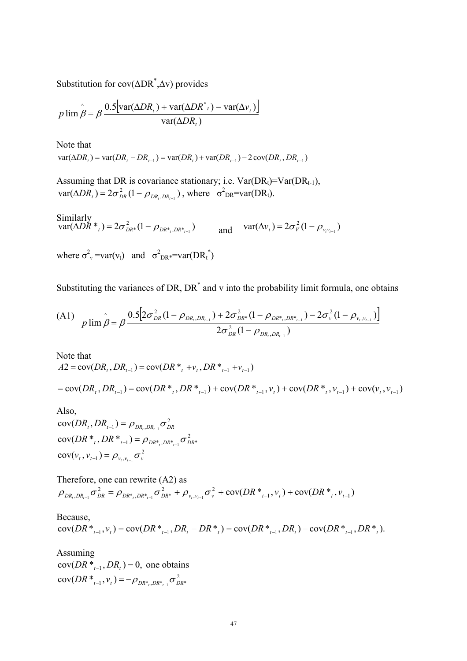Substitution for cov(∆DR\* ,∆v) provides

$$
p \lim \hat{\beta} = \beta \frac{0.5[\text{var}(\Delta D R_t) + \text{var}(\Delta D R^*_{t}) - \text{var}(\Delta v_t)]}{\text{var}(\Delta D R_t)}
$$

Note that  $var(\Delta DR_i) = var(DR_i - DR_{i-1}) = var(DR_i) + var(DR_{i-1}) - 2cov(DR_i, DR_{i-1})$ 

Assuming that DR is covariance stationary; i.e.  $Var(DR_t)=Var(DR_{t-1}),$  $var(\Delta DR_t) = 2\sigma_{DR}^2 (1 - \rho_{DR_t,DR_{t-1}})$ , where  $\sigma_{DR}^2 = var(DR_t)$ .

Similarly  
\n
$$
\text{var}(\Delta DR^*)_t = 2\sigma_{DR^*}^2 (1 - \rho_{DR^*,DR^*_{t-1}}) \qquad \text{and} \qquad \text{var}(\Delta v_t) = 2\sigma_{V}^2 (1 - \rho_{v_{t}v_{t-1}})
$$
\n
$$
\text{where } \sigma_{v}^2 = \text{var}(v_t) \quad \text{and} \quad \sigma_{DR^*}^2 = \text{var}(DR^*)
$$

Substituting the variances of DR,  $DR^*$  and v into the probability limit formula, one obtains

$$
\text{(A1)} \quad p \lim_{\hat{\beta} = \beta} \frac{0.5[2\sigma_{DR}^2 (1 - \rho_{DR_l, DR_{l-1}}) + 2\sigma_{DR^*}^2 (1 - \rho_{DR^*,DR_{l-1}}^2) - 2\sigma_v^2 (1 - \rho_{v_l, v_{l-1}})]}{2\sigma_{DR}^2 (1 - \rho_{DR_l, DR_{l-1}})}
$$

Note that  $A2 = \text{cov}(DR_{i}, DR_{i-1}) = \text{cov}(DR^{*}, +v_{i}, DR^{*}_{i-1}+v_{i-1})$ 

 $= cov(DR_t, DR_{t-1}) = cov(DR^*, DR^*,DR^*_{t-1}) + cov(DR^*_{t-1}, v_t) + cov(DR^*, v_{t-1}) + cov(v_t, v_{t-1})$ 

Also,  $cov(DR_{t}, DR_{t-1}) = \rho_{DR_{t},DR_{t-1}} \sigma_{DR_{t}}^{2}$  $cov(DR^*_{t}, DR^*_{t-1}) = \rho_{DR^*_{t},DR^*_{t-1}} \sigma_{DR^*}^2$  $cov(v_t, v_{t-1}) = \rho_{v_t, v_{t-1}} \sigma_v^2$ 

Therefore, one can rewrite (A2) as  $c_v^2$  + cov(DR  $*_{t-1}, v_t$ ) + cov(DR  $*_{t}$ ,  $v_{t-1}$ ) , 2 \*,  $DR^*$ ,  $DR^*$  $\rho_{_{DR_t, DR_{t-1}}}\sigma_{_{DR}}^2 = \rho_{_{DR^*, DR^*_{t-1}}}\sigma_{_{DR^*}}^2 + \rho_{_{V_t, V_{t-1}}}\sigma_{_V}^2 + \rm cov (DR^*_{_{t-1}}, v_{_t}) + \rm cov (DR^*_{_{t}}, v_{_{t-1}})$ 

Because,  $cov(DR^*_{t-1}, v_t) = cov(DR^*_{t-1}, DR_t - DR^*) = cov(DR^*_{t-1}, DR_t) - cov(DR^*_{t-1}, DR^*)$ .

Assuming  $cov(DR^*_{t-1}, DR_t) = 0$ , one obtains  $cov(DR^*_{t-1}, v_t) = -\rho_{DR^*, DR^*_{t-1}} \sigma_{DR^*}^2$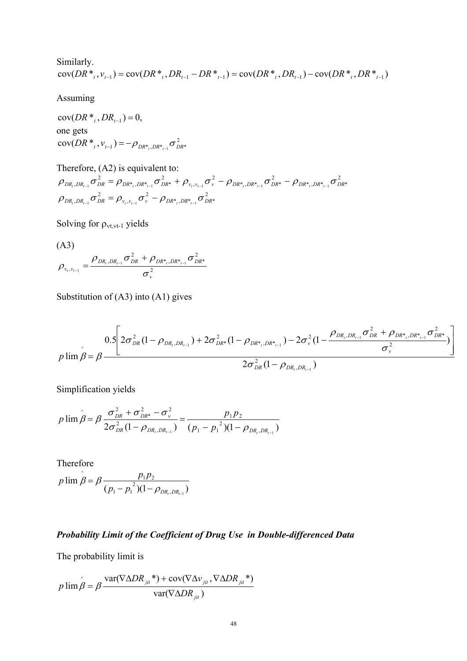Similarly.  
\n
$$
cov(DR^*, v_{t-1}) = cov(DR^*, DR_{t-1} - DR^*) = cov(DR^*, DR_{t-1}) - cov(DR^*, DR_{t-1} - DR^*)
$$

Assuming

 $cov(DR^*, DR_{t-1}) = 0,$ one gets  $cov(DR^*_{t}, v_{t-1}) = -\rho_{DR^*, DR^*_{t-1}} \sigma_{DR^*}^2$ 

Therefore, (A2) is equivalent to: 2 \*, ,DR\*,  $\cup_{l \in \mathbb{N}}$   $\cup_{l \in \mathbb{N}}$ 2 , 2  ${\rho}_{_{DR_{_t},DR_{_{t-1}}}}{\sigma}_{_{DR}}^2 = {\rho}_{_{\nu_{_t},\nu_{_{t-1}}}}{\sigma}_{_{\nu}}^2 - {\rho}_{_{DR_{_{t},DR_{_{t-1}}^*}}}{\sigma}_{_{DR_{_{t}}}}^2$ 2 \*,  $DR^*_{t-1}$   $\cup$   $DR^*$ 2 \*,  $DR^*_{t-1}$   $\cup$   $DR^*$ 2 , 2 \*,  $DR^*_{t-1}$   $\cup$   $DR^*$ 2  $\rho_{_{DR_{t},DR_{t-1}}}\sigma_{_{DR}}^{2}=\rho_{_{DR^{*}_{t},DR^{*}_{t-1}}}\sigma_{_{DR^{*}}}^{2}+\rho_{_{\nu_{t},\nu_{t-1}}}\sigma_{_{\nu}}^{2}-\rho_{_{DR^{*}_{t},DR^{*}_{t-1}}}\sigma_{_{DR^{*}}}^{2}-\rho_{_{DR^{*}_{t},DR^{*}_{t-1}}}\sigma_{_{DR}^{2}}^{2}$ 

Solving for  $\rho_{vt, vt-1}$  yields

$$
\text{(A3)}\\
\rho_{v_i, v_{i-1}} = \frac{\rho_{DR_i, DR_{i-1}} \sigma_{DR}^2 + \rho_{DR_{i,}DR_{i-1}} \sigma_{DR_{i}}^2}{\sigma_v^2}
$$

Substitution of (A3) into (A1) gives

$$
p \lim \hat{\beta} = \beta \frac{0.5 \left[ 2\sigma_{DR}^2 (1 - \rho_{DR_t, DR_{t-1}}) + 2\sigma_{DR^*}^2 (1 - \rho_{DR^*,DR^*_{t-1}}) - 2\sigma_v^2 (1 - \frac{\rho_{DR_t, DR_{t-1}} \sigma_{DR}^2 + \rho_{DR^*,DR^*_{t-1}} \sigma_{DR^*}^2}{\sigma_v^2}) \right]}{2\sigma_{DR}^2 (1 - \rho_{DR_t, DR_{t-1}})}
$$

Simplification yields

$$
p \lim \hat{\beta} = \beta \frac{\sigma_{DR}^2 + \sigma_{DR^*}^2 - \sigma_v^2}{2\sigma_{DR}^2 (1 - \rho_{DR_i, DR_{i-1}})} = \frac{p_1 p_2}{(p_1 - p_1^2)(1 - \rho_{DR_i, DR_{i-1}})}
$$

Therefore  $(p_1 - p_1^2)(1 - \rho_{DR,DR}^2)$ lim  $,DR_{t-1}$ 2  $1 - \mu_1$  $\hat{\beta} = \beta \frac{p_1 p_2}{(p_1 - p_1^2)(1 - \rho_{DR_t, DR_t}]}$  $p \lim \overset{\wedge}{\beta} = \beta \frac{p_1 p_2}{\cdots}$ ρ  $\beta = \beta$ 

# *Probability Limit of the Coefficient of Drug Use in Double-differenced Data*

The probability limit is

$$
p \lim \hat{\beta} = \beta \frac{\text{var}(\nabla \Delta D R_{jit}^*) + \text{cov}(\nabla \Delta v_{jit}, \nabla \Delta D R_{jit}^*)}{\text{var}(\nabla \Delta D R_{jit})}
$$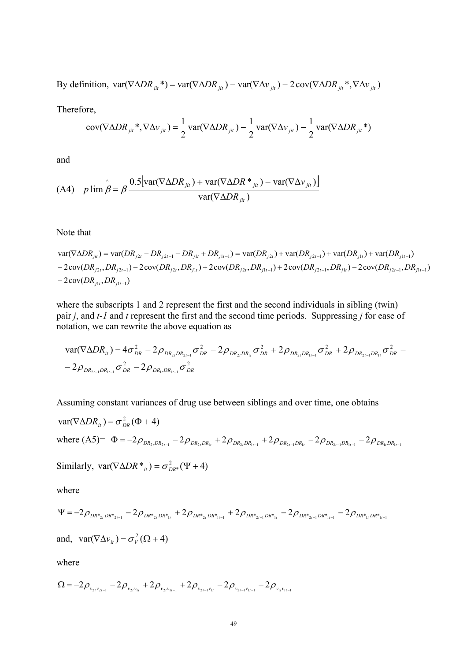By definition,  $var(\nabla \Delta D R_{ji}^*) = var(\nabla \Delta D R_{ji}^*) - var(\nabla \Delta \nu_{ji}^*) - 2 cov(\nabla \Delta D R_{ji}^**, \nabla \Delta \nu_{ji}^*)$ 

Therefore,

$$
cov(\nabla \Delta DR_{_{jit}}^* , \nabla \Delta v_{_{jit}}) = \frac{1}{2} var(\nabla \Delta DR_{_{jit}}) - \frac{1}{2} var(\nabla \Delta v_{_{jit}}) - \frac{1}{2} var(\nabla \Delta DR_{_{jit}}^*)
$$

and

(A4) 
$$
p \lim_{\hat{\beta}} \hat{\beta} = \beta \frac{0.5[\text{var}(\nabla \Delta D R_{jit}) + \text{var}(\nabla \Delta D R \cdot \mathbf{r}_{jit}) - \text{var}(\nabla \Delta v_{jit})]}{\text{var}(\nabla \Delta D R_{jit})}
$$

Note that

$$
var(\nabla \Delta DR_{ji}) = var(DR_{j2t} - DR_{j2t-1} - DR_{j1t} + DR_{j1t-1}) = var(DR_{j2t}) + var(DR_{j2t-1}) + var(DR_{j1t}) + var(DR_{j1t-1})
$$
  
- 2cov(DR\_{j2t}, DR\_{j2t-1}) - 2cov(DR\_{j2t}, DR\_{j1t}) + 2cov(DR\_{j2t}, DR\_{j1t-1}) + 2cov(DR\_{j2t-1}, DR\_{j1t}) - 2cov(DR\_{j2t-1}, DR\_{j1t-1})  
- 2cov(DR\_{j1t}, DR\_{j1t-1})

where the subscripts 1 and 2 represent the first and the second individuals in sibling (twin) pair *j*, and *t*-1 and *t* represent the first and the second time periods. Suppressing *j* for ease of notation, we can rewrite the above equation as

$$
\begin{aligned}\n\text{var}(\nabla \Delta D R_{it}) &= 4\sigma_{DR}^2 - 2\rho_{DR_{2t}DR_{2t-1}}\sigma_{DR}^2 - 2\rho_{DR_{2t}DR_{1t}}\sigma_{DR}^2 + 2\rho_{DR_{2t}DR_{1t-1}}\sigma_{DR}^2 + 2\rho_{DR_{2t-1}DR_{1t}}\sigma_{DR}^2 - \\
&\quad - 2\rho_{DR_{2t-1}DR_{1t-1}}\sigma_{DR}^2 - 2\rho_{DR_{1t}DR_{1t-1}}\sigma_{DR}^2\n\end{aligned}
$$

Assuming constant variances of drug use between siblings and over time, one obtains

$$
\begin{aligned}\n\text{var}(\nabla \Delta D R_{it}) &= \sigma_{DR}^2 (\Phi + 4) \\
\text{where (A5)} &= \Phi = -2\rho_{DR_{2t}DR_{2t-1}} - 2\rho_{DR_{2t}DR_{1t}} + 2\rho_{DR_{2t}DR_{1t-1}} + 2\rho_{DR_{2t-1}DR_{1t}} - 2\rho_{DR_{1t}DR_{1t-1}} - 2\rho_{DR_{1t}DR_{1t-1}} \\
\text{Similarly, } \text{var}(\nabla \Delta D R *_{it}) &= \sigma_{DR}^2 (\Psi + 4)\n\end{aligned}
$$

where

$$
\Psi = -2\rho_{DR^{*}_{2t}DR^{*}_{2t-1}} - 2\rho_{DR^{*}_{2t}DR^{*}_{1t}} + 2\rho_{DR^{*}_{2t}DR^{*}_{1t-1}} + 2\rho_{DR^{*}_{2t-1}DR^{*}_{1t}} - 2\rho_{DR^{*}_{2t-1}DR^{*}_{1t-1}} - 2\rho_{DR^{*}_{1t}DR^{*}_{1t-1}}
$$
  
and, 
$$
var(\nabla \Delta v_{it}) = \sigma_v^2(\Omega + 4)
$$

where

$$
\Omega = -2\rho_{v_{2t}v_{2t-1}} - 2\rho_{v_{2t}v_{1t}} + 2\rho_{v_{2t}v_{1t-1}} + 2\rho_{v_{2t-1}v_{1t}} - 2\rho_{v_{2t-1}v_{1t-1}} - 2\rho_{v_{1t}v_{1t-1}}
$$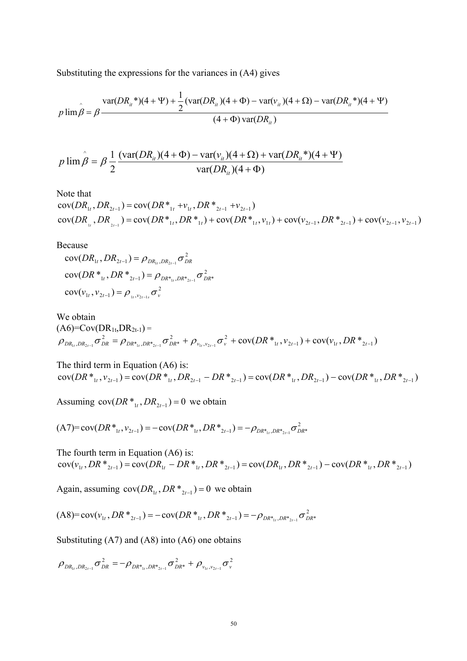Substituting the expressions for the variances in (A4) gives

$$
p \lim_{\hat{\beta} = \beta} \frac{\text{var}(DR_{ii}^*) (4 + \Psi) + \frac{1}{2} (\text{var}(DR_{ii}) (4 + \Phi) - \text{var}(v_{ii}) (4 + \Omega) - \text{var}(DR_{ii}^*) (4 + \Psi)}{(4 + \Phi) \text{var}(DR_{ii})}
$$

$$
p \lim_{i} \hat{\beta} = \beta \frac{1}{2} \frac{(\text{var}(DR_{ii})(4+\Phi) - \text{var}(v_{ii})(4+\Omega) + \text{var}(DR_{ii}^*) (4+\Psi))}{\text{var}(DR_{ii})(4+\Phi)}
$$

Note that

 $cov(DR_{\frac{1}{1}}$ ,  $DR_{\frac{2t-1}{1}})$  =  $cov(DR_{\frac{1}{1}}$ ,  $DR_{\frac{1}{1}}$  +  $cov(DR_{\frac{1}{1}}$ ,  $v_{1t})$  +  $cov(v_{2t-1}, DR_{\frac{2t-1}{1}})$  +  $cov(v_{2t-1}, v_{2t-1})$  $cov(DR_{1t}, DR_{2t-1}) = cov(DR_{1t}^{*} + v_{1t}, DR_{2t-1}^{*} + v_{2t-1})$ 

Because

2  $cov(v_{1t}, v_{2t-1}) = \rho_{v_{1t}, v_{2t-1s}} \sigma_{v_{k}}^2$ 2  $\text{cov}(DR *_{1t}, DR *_{2t-1}) = \rho_{DR *_{1t}, DR *_{2t-1}} \sigma_{DR *_{t}}^2$ 2  $\text{cov}(DR_{1t}, DR_{2t-1}) = \rho_{DR_{1t},DR_{2t-1}} \sigma_{DR_{t}}^2$ 

We obtain  $(AG)=Cov(DR_{1t},DR_{2t-1})=$  $c_{\nu}^2$  + cov(DR  $*_1$ ,  $v_{2t-1}$ ) + cov( $v_{1t}$ , DR  $*_2$ <sub>2t-1</sub>) , 2  $*,_{L}DR^*,_{L-1}$   $\cup$   $DR^*$  $\rho_{_{DR_{1t},DR_{2t-1}}}\sigma_{_{DR}}^2=\rho_{_{DR^*_{1t},DR^*_{2t-1}}}\sigma_{_{DR^*}}^2+\rho_{_{\nu_{1t},\nu_{2t-1}}}\sigma_{_{\nu}}^2+\text{cov}(DR^*_{_{1t},\nu_{2t-1}})+\text{cov}(\nu_{_{1t}},DR^*_{_{2t-1}})$ 

The third term in Equation (A6) is:  $cov(DR^*_{1t}, v_{2t-1}) = cov(DR^*_{1t}, DR_{2t-1} - DR^*_{2t-1}) = cov(DR^*_{1t}, DR_{2t-1}) - cov(DR^*_{1t}, DR_{2t-1})$ 

Assuming  $cov(DR^*_{1t}, DR_{2t-1}) = 0$  we obtain

$$
(A7)=cov(DR*_{1t},v_{2t-1})=-cov(DR*_{1t},DR*_{2t-1})=-\rho_{DR*_{1t},DR*_{2t-1}}\sigma_{DR*_{2t-1}}^{2}
$$

The fourth term in Equation (A6) is:  $cov(v_{1t}, DR^*)_{2t-1}) = cov(DR_{1t} - DR^*)_{1t}, DR^*)_{2t-1}) = cov(DR_{1t}, DR^*)_{2t-1}) - cov(DR^*)_{1t}, DR^*>_{2t-1})$ 

Again, assuming  $cov(DR_{1t}, DR \cdot z_{2t-1}) = 0$  we obtain

$$
(A8)=cov(v_{1t},DR*_{2t-1})=-cov(DR*_{1t},DR*_{2t-1})=-\rho_{DR*_{1t},DR*_{2t-1}}\sigma_{DR*}^2
$$

Substituting (A7) and (A8) into (A6) one obtains

$$
\rho_{DR_{1t},DR_{2t-1}}\sigma_{DR}^2=-\rho_{DR_{1t},DR_{2t-1}}\sigma_{DR^*}^2+\rho_{v_{1t},v_{2t-1}}\sigma_{v}^2
$$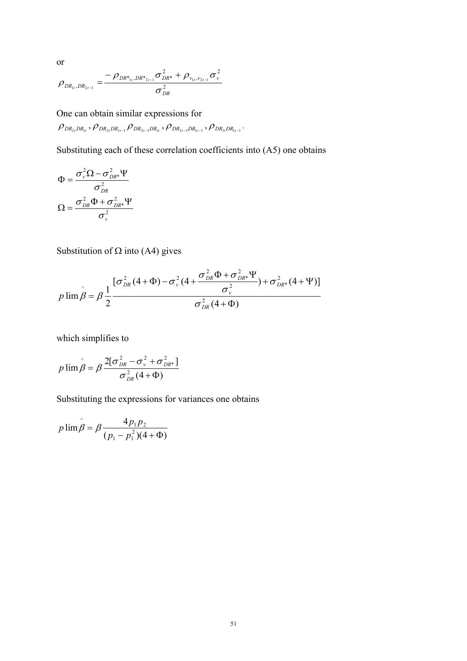$$
\rho_{DR_{1t},DR_{2t-1}} = \frac{-\rho_{DR^*_{1t},DR^*_{2t-1}}\sigma_{DR^*}^2 + \rho_{v_{1t},v_{2t-1}}\sigma_v^2}{\sigma_{DR}^2}
$$

One can obtain similar expressions for  $\rho_{DR_{2t}DR_{1t}}$ ,  $\rho_{DR_{2t}DR_{1t-1}}$ ,  $\rho_{DR_{2t-1}DR_{1t}}$ ,  $\rho_{DR_{1t}DR_{1t-1}}$ ,  $\rho_{DR_{1t}DR_{1t-1}}$ .

Substituting each of these correlation coefficients into (A5) one obtains

$$
\Phi = \frac{\sigma_v^2 \Omega - \sigma_{DR^*}^2 \Psi}{\sigma_{DR}^2}
$$

$$
\Omega = \frac{\sigma_{DR}^2 \Phi + \sigma_{DR^*}^2 \Psi}{\sigma_v^2}
$$

Substitution of  $\Omega$  into (A4) gives

$$
p \lim \hat{\beta} = \beta \frac{1}{2} \frac{[\sigma_{DR}^{2}(4+\Phi) - \sigma_{\nu}^{2}(4+\frac{\sigma_{DR}^{2}\Phi + \sigma_{DR}^{2}\Psi}{\sigma_{\nu}^{2}}) + \sigma_{DR}^{2}(4+\Psi)]}{\sigma_{DR}^{2}(4+\Phi)}
$$

which simplifies to

$$
p \lim \hat{\beta} = \beta \frac{2[\sigma_{DR}^2 - \sigma_v^2 + \sigma_{DR}^2]}{\sigma_{DR}^2(4+\Phi)}
$$

Substituting the expressions for variances one obtains

$$
p \lim \hat{\beta} = \beta \frac{4p_1p_2}{(p_1 - p_1^2)(4 + \Phi)}
$$

or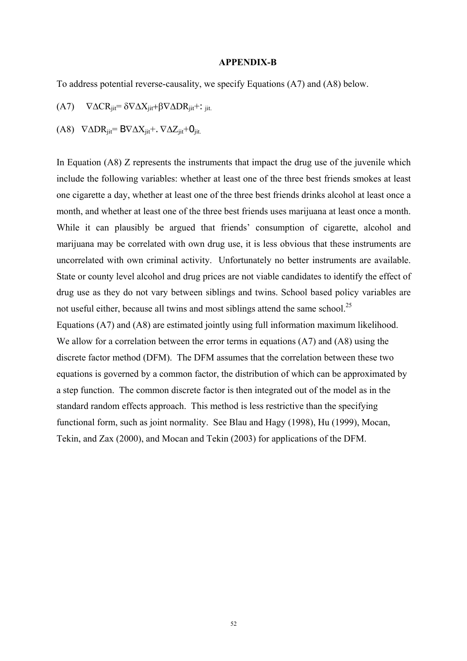#### **APPENDIX-B**

To address potential reverse-causality, we specify Equations (A7) and (A8) below.

- (A7)  $\nabla \Delta \text{CR}_{\text{jit}} = \delta \nabla \Delta X_{\text{jit}} + \beta \nabla \Delta \text{DR}_{\text{jit}} +$ : <sub>jit.</sub>
- (A8)  $\nabla \Delta \text{DR}_{\text{ii}t} = B \nabla \Delta X_{\text{ii}t} + \nabla \Delta Z_{\text{ii}t} + O_{\text{ii}t}$

In Equation (A8) Z represents the instruments that impact the drug use of the juvenile which include the following variables: whether at least one of the three best friends smokes at least one cigarette a day, whether at least one of the three best friends drinks alcohol at least once a month, and whether at least one of the three best friends uses marijuana at least once a month. While it can plausibly be argued that friends' consumption of cigarette, alcohol and marijuana may be correlated with own drug use, it is less obvious that these instruments are uncorrelated with own criminal activity. Unfortunately no better instruments are available. State or county level alcohol and drug prices are not viable candidates to identify the effect of drug use as they do not vary between siblings and twins. School based policy variables are not useful either, because all twins and most siblings attend the same school.<sup>25</sup> Equations (A7) and (A8) are estimated jointly using full information maximum likelihood.

<span id="page-53-0"></span>We allow for a correlation between the error terms in equations  $(A7)$  and  $(A8)$  using the discrete factor method (DFM). The DFM assumes that the correlation between these two equations is governed by a common factor, the distribution of which can be approximated by a step function. The common discrete factor is then integrated out of the model as in the standard random effects approach. This method is less restrictive than the specifying functional form, such as joint normality. See Blau and Hagy (1998), Hu (1999), Mocan, Tekin, and Zax (2000), and Mocan and Tekin (2003) for applications of the DFM.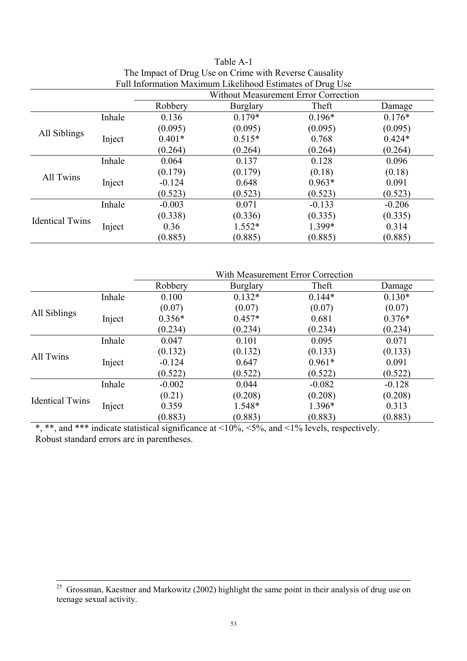| Full Information Maximum Likelihood Estimates of Drug Use |        |                                             |                 |          |          |  |
|-----------------------------------------------------------|--------|---------------------------------------------|-----------------|----------|----------|--|
|                                                           |        | <b>Without Measurement Error Correction</b> |                 |          |          |  |
|                                                           |        | Robbery                                     | <b>Burglary</b> | Theft    | Damage   |  |
|                                                           | Inhale | 0.136                                       | $0.179*$        | $0.196*$ | $0.176*$ |  |
|                                                           |        | (0.095)                                     | (0.095)         | (0.095)  | (0.095)  |  |
| All Siblings                                              | Inject | $0.401*$                                    | $0.515*$        | 0.768    | $0.424*$ |  |
|                                                           |        | (0.264)                                     | (0.264)         | (0.264)  | (0.264)  |  |
|                                                           | Inhale | 0.064                                       | 0.137           | 0.128    | 0.096    |  |
| All Twins                                                 |        | (0.179)                                     | (0.179)         | (0.18)   | (0.18)   |  |
|                                                           | Inject | $-0.124$                                    | 0.648           | $0.963*$ | 0.091    |  |
|                                                           |        | (0.523)                                     | (0.523)         | (0.523)  | (0.523)  |  |
|                                                           | Inhale | $-0.003$                                    | 0.071           | $-0.133$ | $-0.206$ |  |
| <b>Identical Twins</b>                                    |        | (0.338)                                     | (0.336)         | (0.335)  | (0.335)  |  |
|                                                           | Inject | 0.36                                        | $1.552*$        | 1.399*   | 0.314    |  |
|                                                           |        | (0.885)                                     | (0.885)         | (0.885)  | (0.885)  |  |

| Table A-1                                                 |
|-----------------------------------------------------------|
| The Impact of Drug Use on Crime with Reverse Causality    |
| Full Information Maximum Likelihood Estimates of Drug Lis |

|                        |        | With Measurement Error Correction |                                                  |                                                                                                                                                                                              |          |
|------------------------|--------|-----------------------------------|--------------------------------------------------|----------------------------------------------------------------------------------------------------------------------------------------------------------------------------------------------|----------|
|                        |        | Robbery                           | <b>Burglary</b>                                  | Theft                                                                                                                                                                                        | Damage   |
|                        | Inhale | 0.100                             | $0.132*$                                         | $0.144*$                                                                                                                                                                                     | $0.130*$ |
| All Siblings           |        | (0.07)                            | (0.07)                                           | (0.07)                                                                                                                                                                                       | (0.07)   |
|                        | Inject | $0.356*$                          | $0.457*$                                         | 0.681                                                                                                                                                                                        | $0.376*$ |
|                        |        | (0.234)                           | (0.234)                                          | (0.234)<br>(0.234)<br>0.095<br>0.071<br>(0.133)<br>(0.133)<br>$0.961*$<br>0.091<br>(0.522)<br>(0.522)<br>$-0.082$<br>$-0.128$<br>(0.208)<br>(0.208)<br>1.396*<br>0.313<br>(0.883)<br>(0.883) |          |
|                        | Inhale | 0.047                             | 0.101                                            |                                                                                                                                                                                              |          |
| <b>All Twins</b>       |        | (0.132)                           | (0.132)                                          |                                                                                                                                                                                              |          |
|                        | Inject | $-0.124$                          | 0.647                                            |                                                                                                                                                                                              |          |
|                        |        | (0.522)                           | (0.522)<br>0.044<br>(0.208)<br>1.548*<br>(0.883) |                                                                                                                                                                                              |          |
|                        | Inhale | $-0.002$                          |                                                  |                                                                                                                                                                                              |          |
| <b>Identical Twins</b> |        | (0.21)                            |                                                  |                                                                                                                                                                                              |          |
|                        | Inject | 0.359                             |                                                  |                                                                                                                                                                                              |          |
|                        |        | (0.883)                           |                                                  |                                                                                                                                                                                              |          |

\*, \*\*, and \*\*\* indicate statistical significance at <10%, <5%, and <1% levels, respectively. Robust standard errors are in parentheses.

 $\frac{25}{25}$  Grossman, Kaestner and Markowitz (2002) highlight the same point in their analysis of drug use on teenage sexual activity.